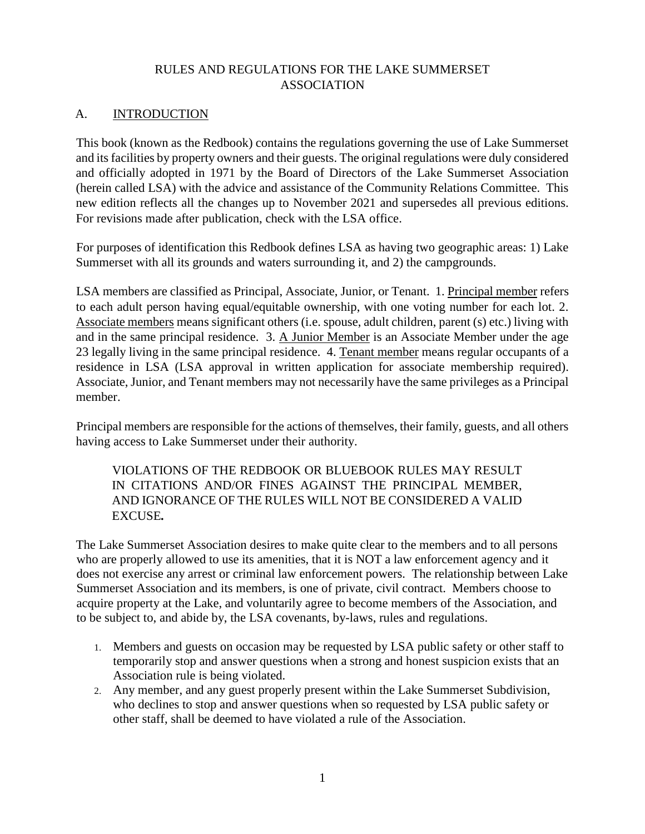# RULES AND REGULATIONS FOR THE LAKE SUMMERSET ASSOCIATION

# A. **INTRODUCTION**

This book (known as the Redbook) contains the regulations governing the use of Lake Summerset and its facilities by property owners and their guests. The original regulations were duly considered and officially adopted in 1971 by the Board of Directors of the Lake Summerset Association (herein called LSA) with the advice and assistance of the Community Relations Committee. This new edition reflects all the changes up to November 2021 and supersedes all previous editions. For revisions made after publication, check with the LSA office.

For purposes of identification this Redbook defines LSA as having two geographic areas: 1) Lake Summerset with all its grounds and waters surrounding it, and 2) the campgrounds.

LSA members are classified as Principal, Associate, Junior, or Tenant. 1. Principal member refers to each adult person having equal/equitable ownership, with one voting number for each lot. 2. Associate members means significant others (i.e. spouse, adult children, parent (s) etc.) living with and in the same principal residence. 3. A Junior Member is an Associate Member under the age 23 legally living in the same principal residence. 4. Tenant member means regular occupants of a residence in LSA (LSA approval in written application for associate membership required). Associate, Junior, and Tenant members may not necessarily have the same privileges as a Principal member.

Principal members are responsible for the actions of themselves, their family, guests, and all others having access to Lake Summerset under their authority.

VIOLATIONS OF THE REDBOOK OR BLUEBOOK RULES MAY RESULT IN CITATIONS AND/OR FINES AGAINST THE PRINCIPAL MEMBER, AND IGNORANCE OF THE RULES WILL NOT BE CONSIDERED A VALID EXCUSE*.*

The Lake Summerset Association desires to make quite clear to the members and to all persons who are properly allowed to use its amenities, that it is NOT a law enforcement agency and it does not exercise any arrest or criminal law enforcement powers. The relationship between Lake Summerset Association and its members, is one of private, civil contract. Members choose to acquire property at the Lake, and voluntarily agree to become members of the Association, and to be subject to, and abide by, the LSA covenants, by-laws, rules and regulations.

- 1. Members and guests on occasion may be requested by LSA public safety or other staff to temporarily stop and answer questions when a strong and honest suspicion exists that an Association rule is being violated.
- 2. Any member, and any guest properly present within the Lake Summerset Subdivision, who declines to stop and answer questions when so requested by LSA public safety or other staff, shall be deemed to have violated a rule of the Association.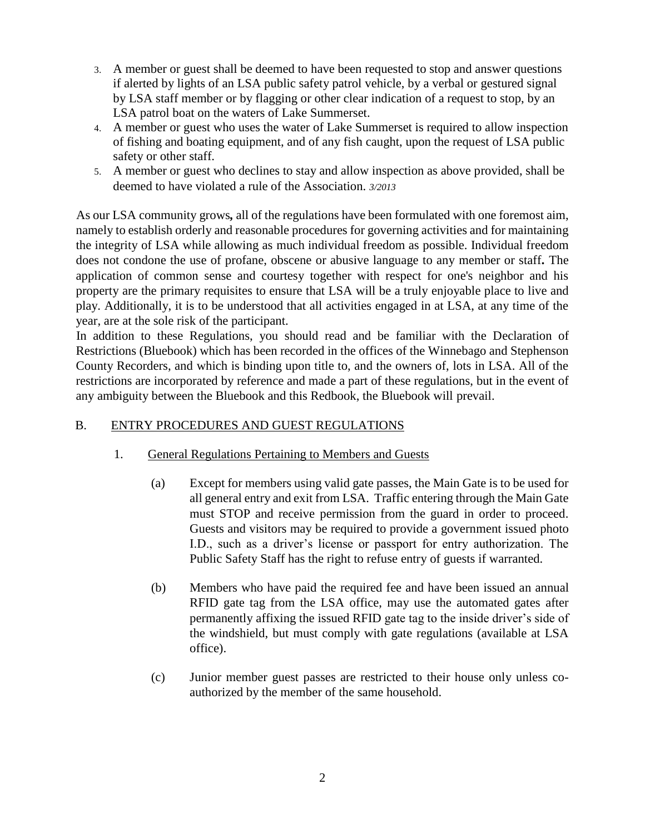- 3. A member or guest shall be deemed to have been requested to stop and answer questions if alerted by lights of an LSA public safety patrol vehicle, by a verbal or gestured signal by LSA staff member or by flagging or other clear indication of a request to stop, by an LSA patrol boat on the waters of Lake Summerset.
- 4. A member or guest who uses the water of Lake Summerset is required to allow inspection of fishing and boating equipment, and of any fish caught, upon the request of LSA public safety or other staff.
- 5. A member or guest who declines to stay and allow inspection as above provided, shall be deemed to have violated a rule of the Association. *3/2013*

As our LSA community grows*,* all of the regulations have been formulated with one foremost aim, namely to establish orderly and reasonable procedures for governing activities and for maintaining the integrity of LSA while allowing as much individual freedom as possible. Individual freedom does not condone the use of profane, obscene or abusive language to any member or staff*.* The application of common sense and courtesy together with respect for one's neighbor and his property are the primary requisites to ensure that LSA will be a truly enjoyable place to live and play. Additionally, it is to be understood that all activities engaged in at LSA, at any time of the year, are at the sole risk of the participant.

In addition to these Regulations, you should read and be familiar with the Declaration of Restrictions (Bluebook) which has been recorded in the offices of the Winnebago and Stephenson County Recorders, and which is binding upon title to, and the owners of, lots in LSA. All of the restrictions are incorporated by reference and made a part of these regulations, but in the event of any ambiguity between the Bluebook and this Redbook, the Bluebook will prevail.

# B. ENTRY PROCEDURES AND GUEST REGULATIONS

- 1. General Regulations Pertaining to Members and Guests
	- (a) Except for members using valid gate passes, the Main Gate is to be used for all general entry and exit from LSA. Traffic entering through the Main Gate must STOP and receive permission from the guard in order to proceed. Guests and visitors may be required to provide a government issued photo I.D., such as a driver's license or passport for entry authorization. The Public Safety Staff has the right to refuse entry of guests if warranted.
	- (b) Members who have paid the required fee and have been issued an annual RFID gate tag from the LSA office, may use the automated gates after permanently affixing the issued RFID gate tag to the inside driver's side of the windshield, but must comply with gate regulations (available at LSA office).
	- (c) Junior member guest passes are restricted to their house only unless coauthorized by the member of the same household.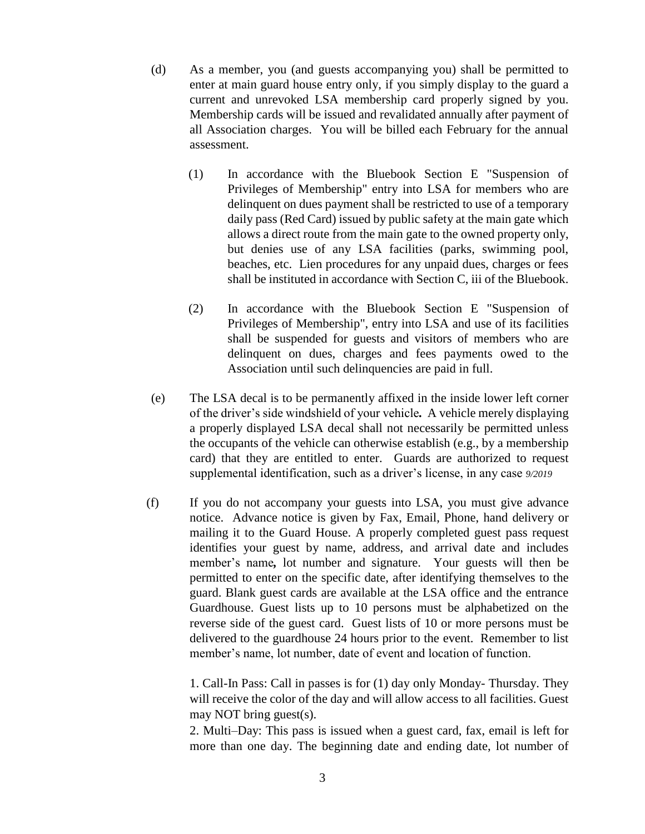- (d) As a member, you (and guests accompanying you) shall be permitted to enter at main guard house entry only, if you simply display to the guard a current and unrevoked LSA membership card properly signed by you. Membership cards will be issued and revalidated annually after payment of all Association charges. You will be billed each February for the annual assessment.
	- (1) In accordance with the Bluebook Section E "Suspension of Privileges of Membership" entry into LSA for members who are delinquent on dues payment shall be restricted to use of a temporary daily pass (Red Card) issued by public safety at the main gate which allows a direct route from the main gate to the owned property only, but denies use of any LSA facilities (parks, swimming pool, beaches, etc. Lien procedures for any unpaid dues, charges or fees shall be instituted in accordance with Section C, iii of the Bluebook.
	- (2) In accordance with the Bluebook Section E "Suspension of Privileges of Membership", entry into LSA and use of its facilities shall be suspended for guests and visitors of members who are delinquent on dues, charges and fees payments owed to the Association until such delinquencies are paid in full.
- (e) The LSA decal is to be permanently affixed in the inside lower left corner of the driver's side windshield of your vehicle*.* A vehicle merely displaying a properly displayed LSA decal shall not necessarily be permitted unless the occupants of the vehicle can otherwise establish (e.g., by a membership card) that they are entitled to enter. Guards are authorized to request supplemental identification, such as a driver's license, in any case *9/2019*
- (f) If you do not accompany your guests into LSA, you must give advance notice. Advance notice is given by Fax, Email, Phone, hand delivery or mailing it to the Guard House. A properly completed guest pass request identifies your guest by name, address, and arrival date and includes member's name*,* lot number and signature. Your guests will then be permitted to enter on the specific date, after identifying themselves to the guard. Blank guest cards are available at the LSA office and the entrance Guardhouse. Guest lists up to 10 persons must be alphabetized on the reverse side of the guest card. Guest lists of 10 or more persons must be delivered to the guardhouse 24 hours prior to the event. Remember to list member's name, lot number, date of event and location of function.

1. Call-In Pass: Call in passes is for (1) day only Monday- Thursday. They will receive the color of the day and will allow access to all facilities. Guest may NOT bring guest(s).

2. Multi–Day: This pass is issued when a guest card, fax, email is left for more than one day. The beginning date and ending date, lot number of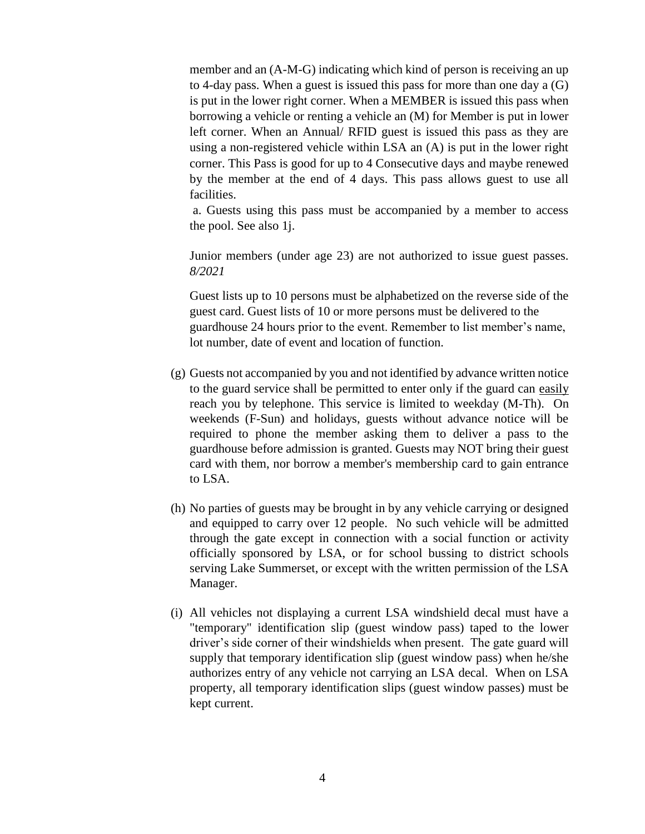member and an (A-M-G) indicating which kind of person is receiving an up to 4-day pass. When a guest is issued this pass for more than one day a (G) is put in the lower right corner. When a MEMBER is issued this pass when borrowing a vehicle or renting a vehicle an (M) for Member is put in lower left corner. When an Annual/ RFID guest is issued this pass as they are using a non-registered vehicle within LSA an (A) is put in the lower right corner. This Pass is good for up to 4 Consecutive days and maybe renewed by the member at the end of 4 days. This pass allows guest to use all facilities.

a. Guests using this pass must be accompanied by a member to access the pool. See also 1j.

Junior members (under age 23) are not authorized to issue guest passes. *8/2021*

Guest lists up to 10 persons must be alphabetized on the reverse side of the guest card. Guest lists of 10 or more persons must be delivered to the guardhouse 24 hours prior to the event. Remember to list member's name, lot number, date of event and location of function.

- (g) Guests not accompanied by you and not identified by advance written notice to the guard service shall be permitted to enter only if the guard can easily reach you by telephone. This service is limited to weekday (M-Th). On weekends (F-Sun) and holidays, guests without advance notice will be required to phone the member asking them to deliver a pass to the guardhouse before admission is granted. Guests may NOT bring their guest card with them, nor borrow a member's membership card to gain entrance to LSA.
- (h) No parties of guests may be brought in by any vehicle carrying or designed and equipped to carry over 12 people. No such vehicle will be admitted through the gate except in connection with a social function or activity officially sponsored by LSA, or for school bussing to district schools serving Lake Summerset, or except with the written permission of the LSA Manager.
- (i) All vehicles not displaying a current LSA windshield decal must have a "temporary" identification slip (guest window pass) taped to the lower driver's side corner of their windshields when present. The gate guard will supply that temporary identification slip (guest window pass) when he/she authorizes entry of any vehicle not carrying an LSA decal. When on LSA property, all temporary identification slips (guest window passes) must be kept current.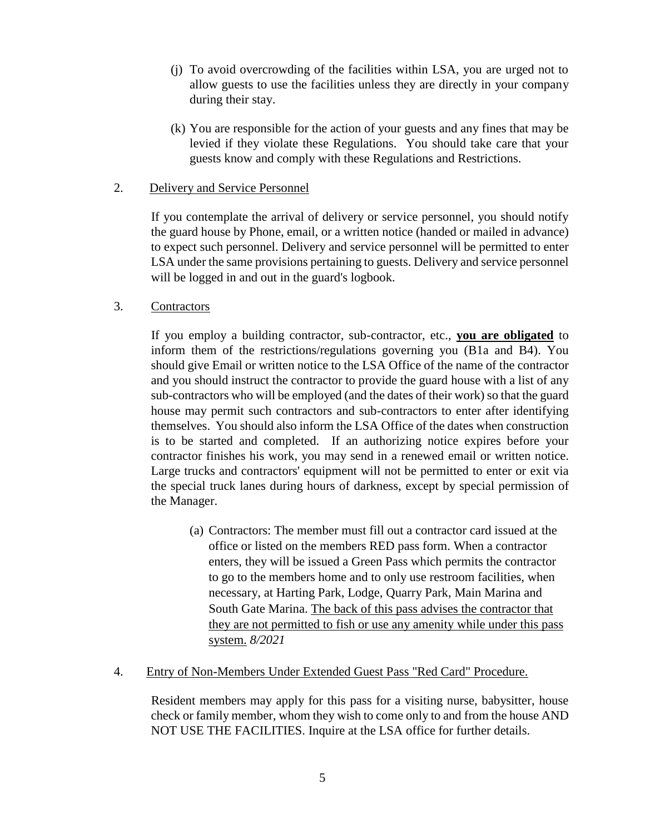- (j) To avoid overcrowding of the facilities within LSA, you are urged not to allow guests to use the facilities unless they are directly in your company during their stay.
- (k) You are responsible for the action of your guests and any fines that may be levied if they violate these Regulations. You should take care that your guests know and comply with these Regulations and Restrictions.
- 2. Delivery and Service Personnel

If you contemplate the arrival of delivery or service personnel, you should notify the guard house by Phone, email, or a written notice (handed or mailed in advance) to expect such personnel. Delivery and service personnel will be permitted to enter LSA under the same provisions pertaining to guests. Delivery and service personnel will be logged in and out in the guard's logbook.

### 3. Contractors

If you employ a building contractor, sub-contractor, etc., **you are obligated** to inform them of the restrictions/regulations governing you (B1a and B4). You should give Email or written notice to the LSA Office of the name of the contractor and you should instruct the contractor to provide the guard house with a list of any sub-contractors who will be employed (and the dates of their work) so that the guard house may permit such contractors and sub-contractors to enter after identifying themselves. You should also inform the LSA Office of the dates when construction is to be started and completed. If an authorizing notice expires before your contractor finishes his work, you may send in a renewed email or written notice. Large trucks and contractors' equipment will not be permitted to enter or exit via the special truck lanes during hours of darkness, except by special permission of the Manager.

(a) Contractors: The member must fill out a contractor card issued at the office or listed on the members RED pass form. When a contractor enters, they will be issued a Green Pass which permits the contractor to go to the members home and to only use restroom facilities, when necessary, at Harting Park, Lodge, Quarry Park, Main Marina and South Gate Marina. The back of this pass advises the contractor that they are not permitted to fish or use any amenity while under this pass system. *8/2021*

### 4. Entry of Non-Members Under Extended Guest Pass "Red Card" Procedure.

Resident members may apply for this pass for a visiting nurse, babysitter, house check or family member, whom they wish to come only to and from the house AND NOT USE THE FACILITIES. Inquire at the LSA office for further details.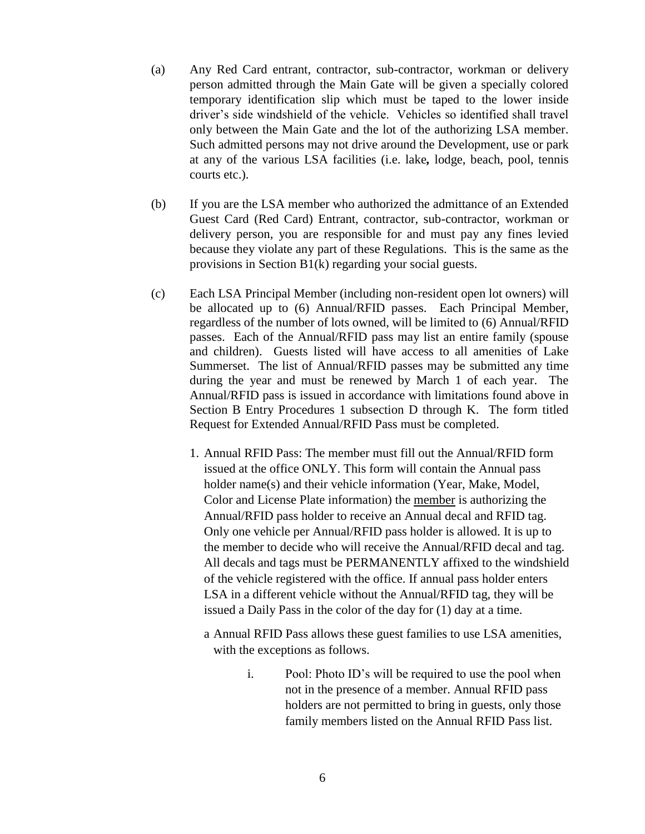- (a) Any Red Card entrant, contractor, sub-contractor, workman or delivery person admitted through the Main Gate will be given a specially colored temporary identification slip which must be taped to the lower inside driver's side windshield of the vehicle. Vehicles so identified shall travel only between the Main Gate and the lot of the authorizing LSA member. Such admitted persons may not drive around the Development, use or park at any of the various LSA facilities (i.e. lake*,* lodge, beach, pool, tennis courts etc.).
- (b) If you are the LSA member who authorized the admittance of an Extended Guest Card (Red Card) Entrant, contractor, sub-contractor, workman or delivery person, you are responsible for and must pay any fines levied because they violate any part of these Regulations. This is the same as the provisions in Section B1(k) regarding your social guests.
- (c) Each LSA Principal Member (including non-resident open lot owners) will be allocated up to (6) Annual/RFID passes. Each Principal Member, regardless of the number of lots owned, will be limited to (6) Annual/RFID passes. Each of the Annual/RFID pass may list an entire family (spouse and children). Guests listed will have access to all amenities of Lake Summerset. The list of Annual/RFID passes may be submitted any time during the year and must be renewed by March 1 of each year. The Annual/RFID pass is issued in accordance with limitations found above in Section B Entry Procedures 1 subsection D through K. The form titled Request for Extended Annual/RFID Pass must be completed.
	- 1. Annual RFID Pass: The member must fill out the Annual/RFID form issued at the office ONLY. This form will contain the Annual pass holder name(s) and their vehicle information (Year, Make, Model, Color and License Plate information) the member is authorizing the Annual/RFID pass holder to receive an Annual decal and RFID tag. Only one vehicle per Annual/RFID pass holder is allowed. It is up to the member to decide who will receive the Annual/RFID decal and tag. All decals and tags must be PERMANENTLY affixed to the windshield of the vehicle registered with the office. If annual pass holder enters LSA in a different vehicle without the Annual/RFID tag, they will be issued a Daily Pass in the color of the day for (1) day at a time.
		- a Annual RFID Pass allows these guest families to use LSA amenities, with the exceptions as follows.
			- i. Pool: Photo ID's will be required to use the pool when not in the presence of a member. Annual RFID pass holders are not permitted to bring in guests, only those family members listed on the Annual RFID Pass list.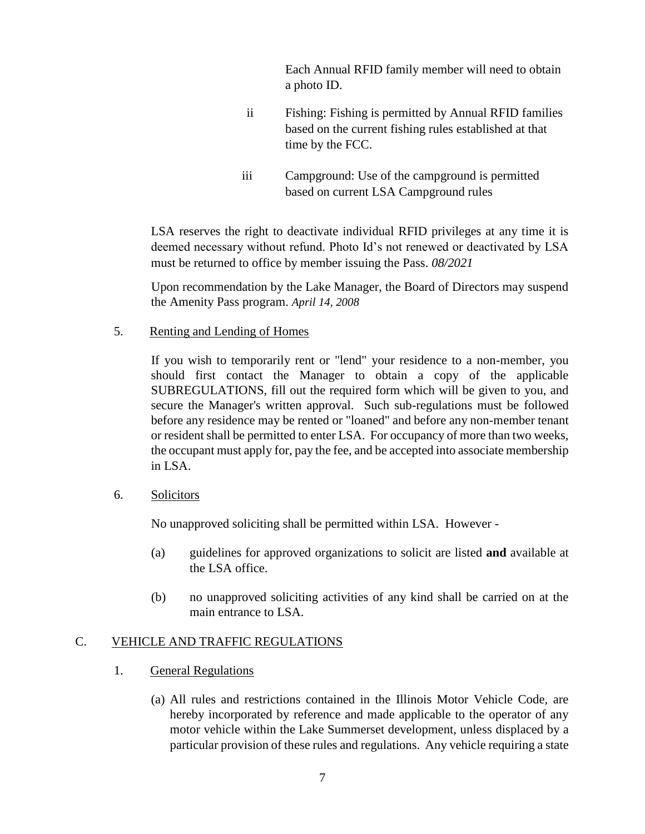Each Annual RFID family member will need to obtain a photo ID.

- ii Fishing: Fishing is permitted by Annual RFID families based on the current fishing rules established at that time by the FCC.
- iii Campground: Use of the campground is permitted based on current LSA Campground rules

LSA reserves the right to deactivate individual RFID privileges at any time it is deemed necessary without refund. Photo Id's not renewed or deactivated by LSA must be returned to office by member issuing the Pass. *08/2021*

Upon recommendation by the Lake Manager, the Board of Directors may suspend the Amenity Pass program. *April 14, 2008*

5. Renting and Lending of Homes

If you wish to temporarily rent or "lend" your residence to a non-member, you should first contact the Manager to obtain a copy of the applicable SUBREGULATIONS, fill out the required form which will be given to you, and secure the Manager's written approval. Such sub-regulations must be followed before any residence may be rented or "loaned" and before any non-member tenant or resident shall be permitted to enter LSA. For occupancy of more than two weeks, the occupant must apply for, pay the fee, and be accepted into associate membership in LSA.

6. Solicitors

No unapproved soliciting shall be permitted within LSA. However -

- (a) guidelines for approved organizations to solicit are listed **and** available at the LSA office.
- (b) no unapproved soliciting activities of any kind shall be carried on at the main entrance to LSA.

# C. VEHICLE AND TRAFFIC REGULATIONS

- 1. General Regulations
	- (a) All rules and restrictions contained in the Illinois Motor Vehicle Code, are hereby incorporated by reference and made applicable to the operator of any motor vehicle within the Lake Summerset development, unless displaced by a particular provision of these rules and regulations. Any vehicle requiring a state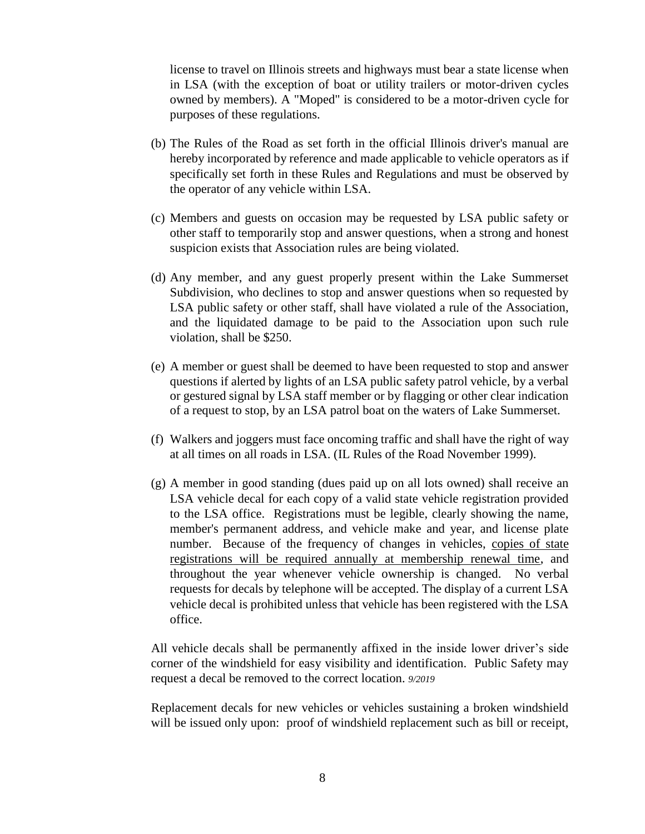license to travel on Illinois streets and highways must bear a state license when in LSA (with the exception of boat or utility trailers or motor-driven cycles owned by members). A "Moped" is considered to be a motor-driven cycle for purposes of these regulations.

- (b) The Rules of the Road as set forth in the official Illinois driver's manual are hereby incorporated by reference and made applicable to vehicle operators as if specifically set forth in these Rules and Regulations and must be observed by the operator of any vehicle within LSA.
- (c) Members and guests on occasion may be requested by LSA public safety or other staff to temporarily stop and answer questions, when a strong and honest suspicion exists that Association rules are being violated.
- (d) Any member, and any guest properly present within the Lake Summerset Subdivision, who declines to stop and answer questions when so requested by LSA public safety or other staff, shall have violated a rule of the Association, and the liquidated damage to be paid to the Association upon such rule violation, shall be \$250.
- (e) A member or guest shall be deemed to have been requested to stop and answer questions if alerted by lights of an LSA public safety patrol vehicle, by a verbal or gestured signal by LSA staff member or by flagging or other clear indication of a request to stop, by an LSA patrol boat on the waters of Lake Summerset.
- (f) Walkers and joggers must face oncoming traffic and shall have the right of way at all times on all roads in LSA. (IL Rules of the Road November 1999).
- (g) A member in good standing (dues paid up on all lots owned) shall receive an LSA vehicle decal for each copy of a valid state vehicle registration provided to the LSA office. Registrations must be legible, clearly showing the name, member's permanent address, and vehicle make and year, and license plate number. Because of the frequency of changes in vehicles, copies of state registrations will be required annually at membership renewal time, and throughout the year whenever vehicle ownership is changed. No verbal requests for decals by telephone will be accepted. The display of a current LSA vehicle decal is prohibited unless that vehicle has been registered with the LSA office.

All vehicle decals shall be permanently affixed in the inside lower driver's side corner of the windshield for easy visibility and identification. Public Safety may request a decal be removed to the correct location. *9/2019*

Replacement decals for new vehicles or vehicles sustaining a broken windshield will be issued only upon: proof of windshield replacement such as bill or receipt,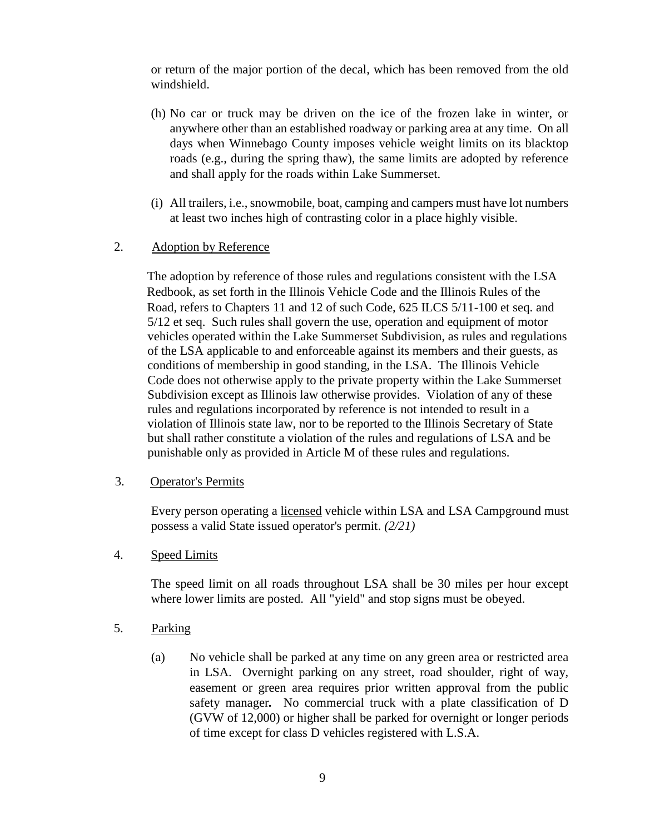or return of the major portion of the decal, which has been removed from the old windshield.

- (h) No car or truck may be driven on the ice of the frozen lake in winter, or anywhere other than an established roadway or parking area at any time. On all days when Winnebago County imposes vehicle weight limits on its blacktop roads (e.g., during the spring thaw), the same limits are adopted by reference and shall apply for the roads within Lake Summerset.
- (i) All trailers, i.e., snowmobile, boat, camping and campers must have lot numbers at least two inches high of contrasting color in a place highly visible.

### 2. Adoption by Reference

The adoption by reference of those rules and regulations consistent with the LSA Redbook, as set forth in the Illinois Vehicle Code and the Illinois Rules of the Road, refers to Chapters 11 and 12 of such Code, 625 ILCS 5/11-100 et seq. and 5/12 et seq. Such rules shall govern the use, operation and equipment of motor vehicles operated within the Lake Summerset Subdivision, as rules and regulations of the LSA applicable to and enforceable against its members and their guests, as conditions of membership in good standing, in the LSA. The Illinois Vehicle Code does not otherwise apply to the private property within the Lake Summerset Subdivision except as Illinois law otherwise provides. Violation of any of these rules and regulations incorporated by reference is not intended to result in a violation of Illinois state law, nor to be reported to the Illinois Secretary of State but shall rather constitute a violation of the rules and regulations of LSA and be punishable only as provided in Article M of these rules and regulations.

### 3. Operator's Permits

Every person operating a licensed vehicle within LSA and LSA Campground must possess a valid State issued operator's permit. *(2/21)*

### 4. Speed Limits

The speed limit on all roads throughout LSA shall be 30 miles per hour except where lower limits are posted. All "yield" and stop signs must be obeyed.

- 5. Parking
	- (a) No vehicle shall be parked at any time on any green area or restricted area in LSA. Overnight parking on any street, road shoulder, right of way, easement or green area requires prior written approval from the public safety manager*.* No commercial truck with a plate classification of D (GVW of 12,000) or higher shall be parked for overnight or longer periods of time except for class D vehicles registered with L.S.A.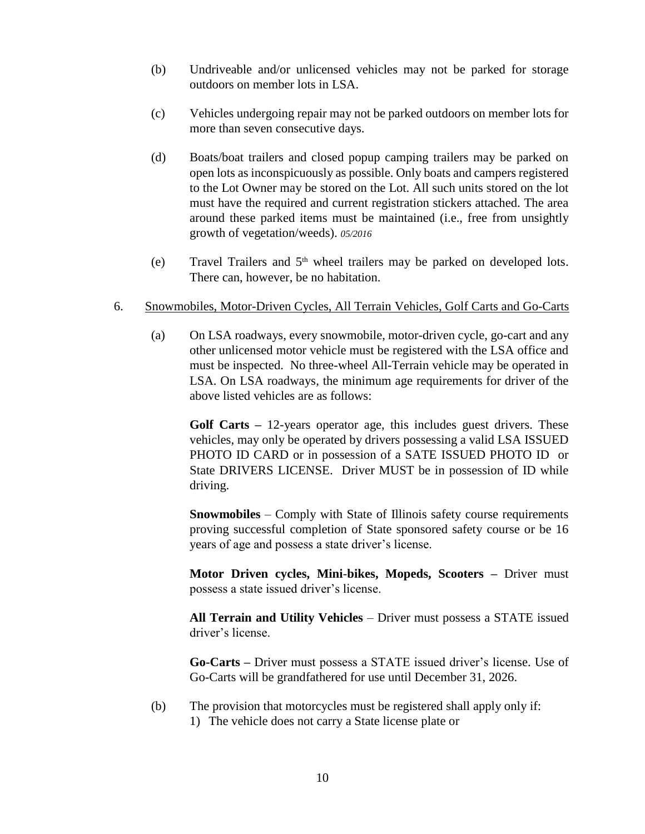- (b) Undriveable and/or unlicensed vehicles may not be parked for storage outdoors on member lots in LSA.
- (c) Vehicles undergoing repair may not be parked outdoors on member lots for more than seven consecutive days.
- (d) Boats/boat trailers and closed popup camping trailers may be parked on open lots as inconspicuously as possible. Only boats and campers registered to the Lot Owner may be stored on the Lot. All such units stored on the lot must have the required and current registration stickers attached. The area around these parked items must be maintained (i.e., free from unsightly growth of vegetation/weeds). *05/2016*
- (e) Travel Trailers and  $5<sup>th</sup>$  wheel trailers may be parked on developed lots. There can, however, be no habitation.

### 6. Snowmobiles, Motor-Driven Cycles, All Terrain Vehicles, Golf Carts and Go-Carts

(a) On LSA roadways, every snowmobile, motor-driven cycle, go-cart and any other unlicensed motor vehicle must be registered with the LSA office and must be inspected. No three-wheel All-Terrain vehicle may be operated in LSA. On LSA roadways, the minimum age requirements for driver of the above listed vehicles are as follows:

**Golf Carts –** 12-years operator age, this includes guest drivers. These vehicles, may only be operated by drivers possessing a valid LSA ISSUED PHOTO ID CARD or in possession of a SATE ISSUED PHOTO ID or State DRIVERS LICENSE. Driver MUST be in possession of ID while driving.

**Snowmobiles** – Comply with State of Illinois safety course requirements proving successful completion of State sponsored safety course or be 16 years of age and possess a state driver's license.

**Motor Driven cycles, Mini**-**bikes, Mopeds, Scooters –** Driver must possess a state issued driver's license.

**All Terrain and Utility Vehicles** – Driver must possess a STATE issued driver's license.

**Go-Carts –** Driver must possess a STATE issued driver's license. Use of Go-Carts will be grandfathered for use until December 31, 2026.

(b) The provision that motorcycles must be registered shall apply only if: 1) The vehicle does not carry a State license plate or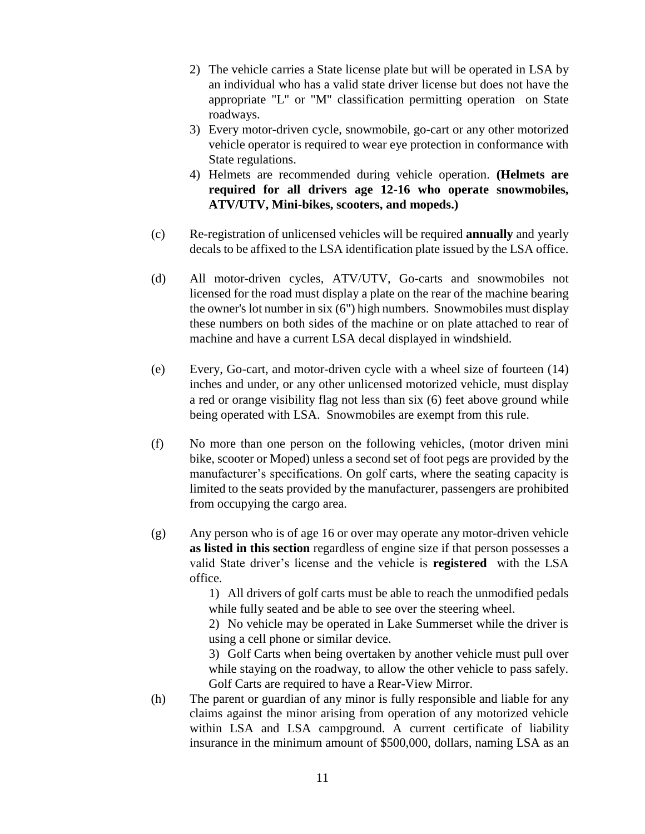- 2) The vehicle carries a State license plate but will be operated in LSA by an individual who has a valid state driver license but does not have the appropriate "L" or "M" classification permitting operation on State roadways.
- 3) Every motor-driven cycle, snowmobile, go-cart or any other motorized vehicle operator is required to wear eye protection in conformance with State regulations.
- 4) Helmets are recommended during vehicle operation. **(Helmets are required for all drivers age 12-16 who operate snowmobiles, ATV/UTV, Mini-bikes, scooters, and mopeds.)**
- (c) Re-registration of unlicensed vehicles will be required **annually** and yearly decals to be affixed to the LSA identification plate issued by the LSA office.
- (d) All motor-driven cycles, ATV/UTV, Go-carts and snowmobiles not licensed for the road must display a plate on the rear of the machine bearing the owner's lot number in six (6") high numbers. Snowmobiles must display these numbers on both sides of the machine or on plate attached to rear of machine and have a current LSA decal displayed in windshield.
- (e) Every, Go-cart, and motor-driven cycle with a wheel size of fourteen (14) inches and under, or any other unlicensed motorized vehicle, must display a red or orange visibility flag not less than six (6) feet above ground while being operated with LSA. Snowmobiles are exempt from this rule.
- (f) No more than one person on the following vehicles, (motor driven mini bike, scooter or Moped) unless a second set of foot pegs are provided by the manufacturer's specifications. On golf carts, where the seating capacity is limited to the seats provided by the manufacturer, passengers are prohibited from occupying the cargo area.
- (g) Any person who is of age 16 or over may operate any motor-driven vehicle **as listed in this section** regardless of engine size if that person possesses a valid State driver's license and the vehicle is **registered** with the LSA office.

1) All drivers of golf carts must be able to reach the unmodified pedals while fully seated and be able to see over the steering wheel.

2) No vehicle may be operated in Lake Summerset while the driver is using a cell phone or similar device.

3) Golf Carts when being overtaken by another vehicle must pull over while staying on the roadway, to allow the other vehicle to pass safely. Golf Carts are required to have a Rear-View Mirror.

(h) The parent or guardian of any minor is fully responsible and liable for any claims against the minor arising from operation of any motorized vehicle within LSA and LSA campground. A current certificate of liability insurance in the minimum amount of \$500,000, dollars, naming LSA as an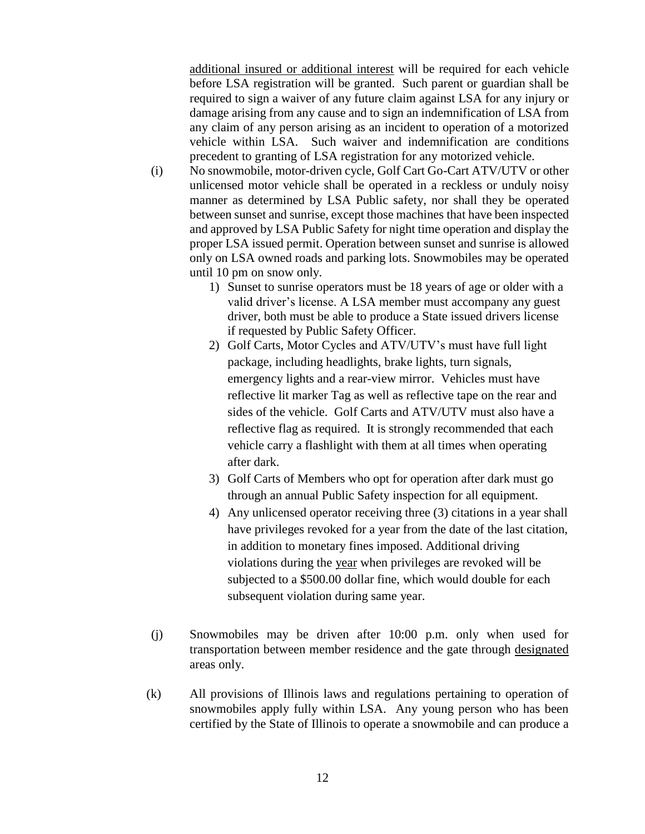additional insured or additional interest will be required for each vehicle before LSA registration will be granted. Such parent or guardian shall be required to sign a waiver of any future claim against LSA for any injury or damage arising from any cause and to sign an indemnification of LSA from any claim of any person arising as an incident to operation of a motorized vehicle within LSA. Such waiver and indemnification are conditions precedent to granting of LSA registration for any motorized vehicle.

- (i) No snowmobile, motor-driven cycle, Golf Cart Go-Cart ATV/UTV or other unlicensed motor vehicle shall be operated in a reckless or unduly noisy manner as determined by LSA Public safety, nor shall they be operated between sunset and sunrise, except those machines that have been inspected and approved by LSA Public Safety for night time operation and display the proper LSA issued permit. Operation between sunset and sunrise is allowed only on LSA owned roads and parking lots. Snowmobiles may be operated until 10 pm on snow only.
	- 1) Sunset to sunrise operators must be 18 years of age or older with a valid driver's license. A LSA member must accompany any guest driver, both must be able to produce a State issued drivers license if requested by Public Safety Officer.
	- 2) Golf Carts, Motor Cycles and ATV/UTV's must have full light package, including headlights, brake lights, turn signals, emergency lights and a rear-view mirror. Vehicles must have reflective lit marker Tag as well as reflective tape on the rear and sides of the vehicle. Golf Carts and ATV/UTV must also have a reflective flag as required. It is strongly recommended that each vehicle carry a flashlight with them at all times when operating after dark.
	- 3) Golf Carts of Members who opt for operation after dark must go through an annual Public Safety inspection for all equipment.
	- 4) Any unlicensed operator receiving three (3) citations in a year shall have privileges revoked for a year from the date of the last citation, in addition to monetary fines imposed. Additional driving violations during the year when privileges are revoked will be subjected to a \$500.00 dollar fine, which would double for each subsequent violation during same year.
- (j) Snowmobiles may be driven after 10:00 p.m. only when used for transportation between member residence and the gate through designated areas only.
- (k) All provisions of Illinois laws and regulations pertaining to operation of snowmobiles apply fully within LSA. Any young person who has been certified by the State of Illinois to operate a snowmobile and can produce a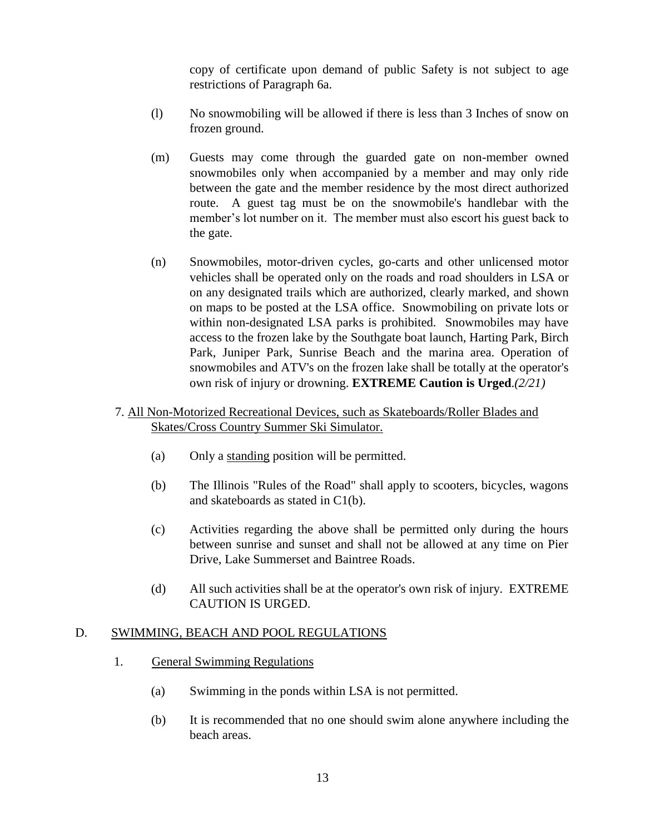copy of certificate upon demand of public Safety is not subject to age restrictions of Paragraph 6a.

- (l) No snowmobiling will be allowed if there is less than 3 Inches of snow on frozen ground.
- (m) Guests may come through the guarded gate on non-member owned snowmobiles only when accompanied by a member and may only ride between the gate and the member residence by the most direct authorized route. A guest tag must be on the snowmobile's handlebar with the member's lot number on it. The member must also escort his guest back to the gate.
- (n) Snowmobiles, motor-driven cycles, go-carts and other unlicensed motor vehicles shall be operated only on the roads and road shoulders in LSA or on any designated trails which are authorized, clearly marked, and shown on maps to be posted at the LSA office. Snowmobiling on private lots or within non-designated LSA parks is prohibited. Snowmobiles may have access to the frozen lake by the Southgate boat launch, Harting Park, Birch Park, Juniper Park, Sunrise Beach and the marina area. Operation of snowmobiles and ATV's on the frozen lake shall be totally at the operator's own risk of injury or drowning. **EXTREME Caution is Urged**.*(2/21)*
- 7. All Non-Motorized Recreational Devices, such as Skateboards/Roller Blades and Skates/Cross Country Summer Ski Simulator.
	- (a) Only a standing position will be permitted.
	- (b) The Illinois "Rules of the Road" shall apply to scooters, bicycles, wagons and skateboards as stated in C1(b).
	- (c) Activities regarding the above shall be permitted only during the hours between sunrise and sunset and shall not be allowed at any time on Pier Drive, Lake Summerset and Baintree Roads.
	- (d) All such activities shall be at the operator's own risk of injury. EXTREME CAUTION IS URGED.

### D. SWIMMING, BEACH AND POOL REGULATIONS

- 1. General Swimming Regulations
	- (a) Swimming in the ponds within LSA is not permitted.
	- (b) It is recommended that no one should swim alone anywhere including the beach areas.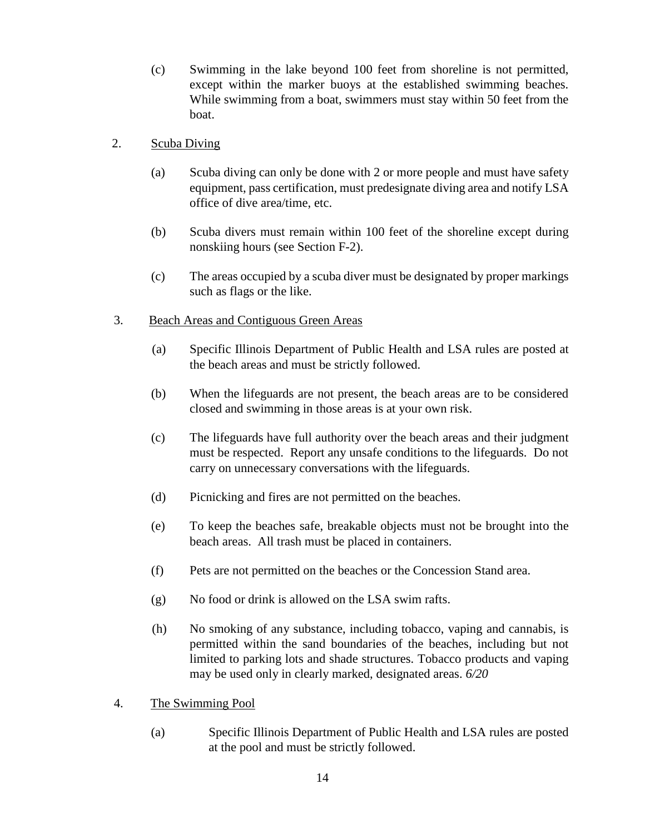(c) Swimming in the lake beyond 100 feet from shoreline is not permitted, except within the marker buoys at the established swimming beaches. While swimming from a boat, swimmers must stay within 50 feet from the boat.

### 2. Scuba Diving

- (a) Scuba diving can only be done with 2 or more people and must have safety equipment, pass certification, must predesignate diving area and notify LSA office of dive area/time, etc.
- (b) Scuba divers must remain within 100 feet of the shoreline except during nonskiing hours (see Section F-2).
- (c) The areas occupied by a scuba diver must be designated by proper markings such as flags or the like.

### 3. Beach Areas and Contiguous Green Areas

- (a) Specific Illinois Department of Public Health and LSA rules are posted at the beach areas and must be strictly followed.
- (b) When the lifeguards are not present, the beach areas are to be considered closed and swimming in those areas is at your own risk.
- (c) The lifeguards have full authority over the beach areas and their judgment must be respected. Report any unsafe conditions to the lifeguards. Do not carry on unnecessary conversations with the lifeguards.
- (d) Picnicking and fires are not permitted on the beaches.
- (e) To keep the beaches safe, breakable objects must not be brought into the beach areas. All trash must be placed in containers.
- (f) Pets are not permitted on the beaches or the Concession Stand area.
- (g) No food or drink is allowed on the LSA swim rafts.
- (h) No smoking of any substance, including tobacco, vaping and cannabis, is permitted within the sand boundaries of the beaches, including but not limited to parking lots and shade structures. Tobacco products and vaping may be used only in clearly marked, designated areas. *6/20*
- 4. The Swimming Pool
	- (a) Specific Illinois Department of Public Health and LSA rules are posted at the pool and must be strictly followed.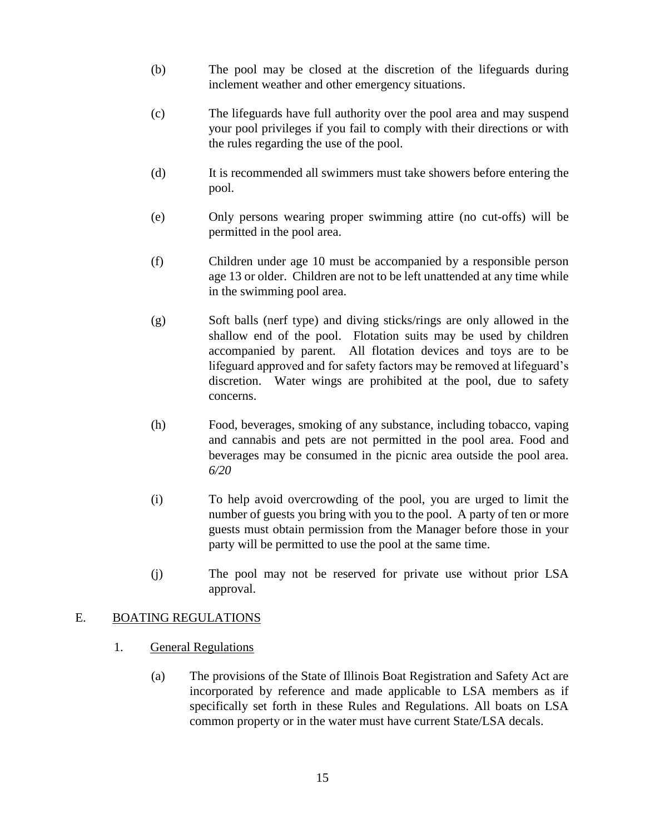- (b) The pool may be closed at the discretion of the lifeguards during inclement weather and other emergency situations.
- (c) The lifeguards have full authority over the pool area and may suspend your pool privileges if you fail to comply with their directions or with the rules regarding the use of the pool.
- (d) It is recommended all swimmers must take showers before entering the pool.
- (e) Only persons wearing proper swimming attire (no cut-offs) will be permitted in the pool area.
- (f) Children under age 10 must be accompanied by a responsible person age 13 or older. Children are not to be left unattended at any time while in the swimming pool area.
- (g) Soft balls (nerf type) and diving sticks/rings are only allowed in the shallow end of the pool. Flotation suits may be used by children accompanied by parent. All flotation devices and toys are to be lifeguard approved and for safety factors may be removed at lifeguard's discretion. Water wings are prohibited at the pool, due to safety concerns.
- (h) Food, beverages, smoking of any substance, including tobacco, vaping and cannabis and pets are not permitted in the pool area. Food and beverages may be consumed in the picnic area outside the pool area. *6/20*
- (i) To help avoid overcrowding of the pool, you are urged to limit the number of guests you bring with you to the pool. A party of ten or more guests must obtain permission from the Manager before those in your party will be permitted to use the pool at the same time.
- (j) The pool may not be reserved for private use without prior LSA approval.

### E. BOATING REGULATIONS

- 1. General Regulations
	- (a) The provisions of the State of Illinois Boat Registration and Safety Act are incorporated by reference and made applicable to LSA members as if specifically set forth in these Rules and Regulations. All boats on LSA common property or in the water must have current State/LSA decals.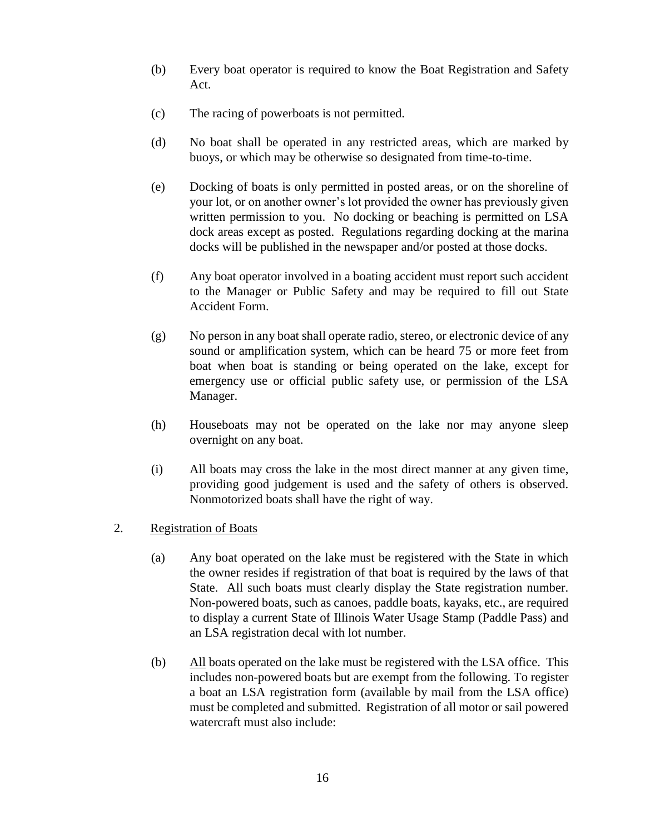- (b) Every boat operator is required to know the Boat Registration and Safety Act.
- (c) The racing of powerboats is not permitted.
- (d) No boat shall be operated in any restricted areas, which are marked by buoys, or which may be otherwise so designated from time-to-time.
- (e) Docking of boats is only permitted in posted areas, or on the shoreline of your lot, or on another owner's lot provided the owner has previously given written permission to you. No docking or beaching is permitted on LSA dock areas except as posted. Regulations regarding docking at the marina docks will be published in the newspaper and/or posted at those docks.
- (f) Any boat operator involved in a boating accident must report such accident to the Manager or Public Safety and may be required to fill out State Accident Form.
- (g) No person in any boat shall operate radio, stereo, or electronic device of any sound or amplification system, which can be heard 75 or more feet from boat when boat is standing or being operated on the lake, except for emergency use or official public safety use, or permission of the LSA Manager.
- (h) Houseboats may not be operated on the lake nor may anyone sleep overnight on any boat.
- (i) All boats may cross the lake in the most direct manner at any given time, providing good judgement is used and the safety of others is observed. Nonmotorized boats shall have the right of way.
- 2. Registration of Boats
	- (a) Any boat operated on the lake must be registered with the State in which the owner resides if registration of that boat is required by the laws of that State. All such boats must clearly display the State registration number. Non-powered boats, such as canoes, paddle boats, kayaks, etc., are required to display a current State of Illinois Water Usage Stamp (Paddle Pass) and an LSA registration decal with lot number.
	- (b) All boats operated on the lake must be registered with the LSA office. This includes non-powered boats but are exempt from the following. To register a boat an LSA registration form (available by mail from the LSA office) must be completed and submitted. Registration of all motor or sail powered watercraft must also include: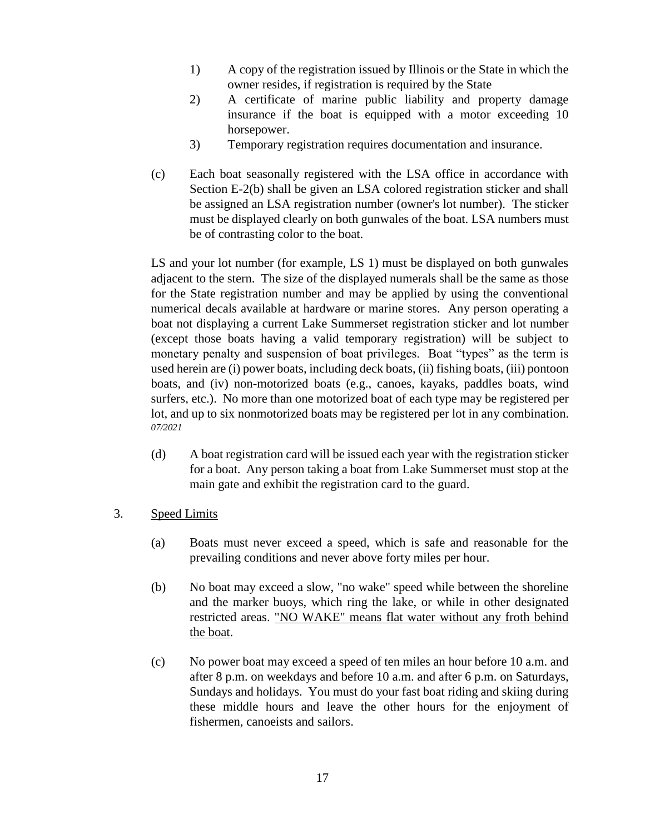- 1) A copy of the registration issued by Illinois or the State in which the owner resides, if registration is required by the State
- 2) A certificate of marine public liability and property damage insurance if the boat is equipped with a motor exceeding 10 horsepower.
- 3) Temporary registration requires documentation and insurance.
- (c) Each boat seasonally registered with the LSA office in accordance with Section E-2(b) shall be given an LSA colored registration sticker and shall be assigned an LSA registration number (owner's lot number). The sticker must be displayed clearly on both gunwales of the boat. LSA numbers must be of contrasting color to the boat.

LS and your lot number (for example, LS 1) must be displayed on both gunwales adjacent to the stern. The size of the displayed numerals shall be the same as those for the State registration number and may be applied by using the conventional numerical decals available at hardware or marine stores. Any person operating a boat not displaying a current Lake Summerset registration sticker and lot number (except those boats having a valid temporary registration) will be subject to monetary penalty and suspension of boat privileges. Boat "types" as the term is used herein are (i) power boats, including deck boats, (ii) fishing boats, (iii) pontoon boats, and (iv) non-motorized boats (e.g., canoes, kayaks, paddles boats, wind surfers, etc.). No more than one motorized boat of each type may be registered per lot, and up to six nonmotorized boats may be registered per lot in any combination. *07/2021*

- (d) A boat registration card will be issued each year with the registration sticker for a boat. Any person taking a boat from Lake Summerset must stop at the main gate and exhibit the registration card to the guard.
- 3. Speed Limits
	- (a) Boats must never exceed a speed, which is safe and reasonable for the prevailing conditions and never above forty miles per hour.
	- (b) No boat may exceed a slow, "no wake" speed while between the shoreline and the marker buoys, which ring the lake, or while in other designated restricted areas. "NO WAKE" means flat water without any froth behind the boat.
	- (c) No power boat may exceed a speed of ten miles an hour before 10 a.m. and after 8 p.m. on weekdays and before 10 a.m. and after 6 p.m. on Saturdays, Sundays and holidays. You must do your fast boat riding and skiing during these middle hours and leave the other hours for the enjoyment of fishermen, canoeists and sailors.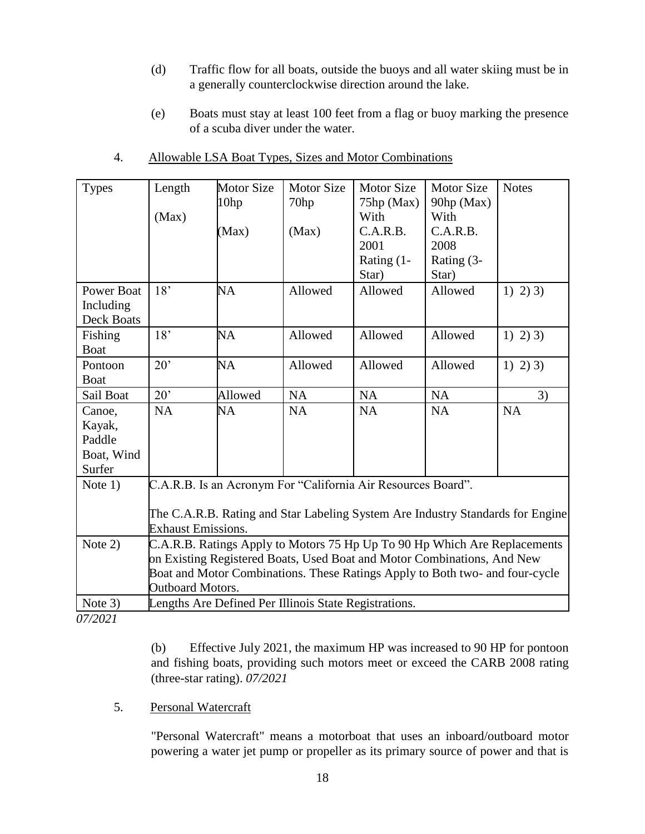- (d) Traffic flow for all boats, outside the buoys and all water skiing must be in a generally counterclockwise direction around the lake.
- (e) Boats must stay at least 100 feet from a flag or buoy marking the presence of a scuba diver under the water.

| <b>Types</b>      | Length                                                                         | <b>Motor Size</b> | <b>Motor Size</b> | <b>Motor Size</b> | <b>Motor Size</b> | <b>Notes</b> |
|-------------------|--------------------------------------------------------------------------------|-------------------|-------------------|-------------------|-------------------|--------------|
|                   |                                                                                | 10 <sub>hp</sub>  | 70hp              | $75$ hp (Max)     | 90hp (Max)        |              |
|                   | (Max)                                                                          |                   |                   | With              | With              |              |
|                   |                                                                                | (Max)             | (Max)             | C.A.R.B.          | C.A.R.B.          |              |
|                   |                                                                                |                   |                   | 2001              | 2008              |              |
|                   |                                                                                |                   |                   | Rating (1-        | Rating (3-        |              |
|                   |                                                                                |                   |                   | Star)             | Star)             |              |
| <b>Power Boat</b> | 18'                                                                            | NA                | Allowed           | Allowed           | Allowed           | $1)$ 2) 3)   |
| Including         |                                                                                |                   |                   |                   |                   |              |
| Deck Boats        |                                                                                |                   |                   |                   |                   |              |
| Fishing           | 18'                                                                            | <b>NA</b>         | Allowed           | Allowed           | Allowed           | 1) 2) 3)     |
| <b>Boat</b>       |                                                                                |                   |                   |                   |                   |              |
| Pontoon           | 20'                                                                            | NA                | Allowed           | Allowed           | Allowed           | $1)$ 2) 3)   |
| <b>Boat</b>       |                                                                                |                   |                   |                   |                   |              |
| Sail Boat         | $20^{\circ}$                                                                   | Allowed           | NA                | <b>NA</b>         | NA                | 3)           |
| Canoe,            | <b>NA</b>                                                                      | NA                | <b>NA</b>         | <b>NA</b>         | <b>NA</b>         | <b>NA</b>    |
| Kayak,            |                                                                                |                   |                   |                   |                   |              |
| Paddle            |                                                                                |                   |                   |                   |                   |              |
| Boat, Wind        |                                                                                |                   |                   |                   |                   |              |
| Surfer            |                                                                                |                   |                   |                   |                   |              |
| Note $1)$         | C.A.R.B. Is an Acronym For "California Air Resources Board".                   |                   |                   |                   |                   |              |
|                   |                                                                                |                   |                   |                   |                   |              |
|                   | The C.A.R.B. Rating and Star Labeling System Are Industry Standards for Engine |                   |                   |                   |                   |              |
|                   | <b>Exhaust Emissions.</b>                                                      |                   |                   |                   |                   |              |
| Note 2)           | C.A.R.B. Ratings Apply to Motors 75 Hp Up To 90 Hp Which Are Replacements      |                   |                   |                   |                   |              |
|                   | on Existing Registered Boats, Used Boat and Motor Combinations, And New        |                   |                   |                   |                   |              |
|                   | Boat and Motor Combinations. These Ratings Apply to Both two- and four-cycle   |                   |                   |                   |                   |              |
|                   | Outboard Motors.                                                               |                   |                   |                   |                   |              |
| Note 3)           | Lengths Are Defined Per Illinois State Registrations.                          |                   |                   |                   |                   |              |

4. Allowable LSA Boat Types, Sizes and Motor Combinations

*07/2021*

(b) Effective July 2021, the maximum HP was increased to 90 HP for pontoon and fishing boats, providing such motors meet or exceed the CARB 2008 rating (three-star rating). *07/2021*

# 5. Personal Watercraft

"Personal Watercraft" means a motorboat that uses an inboard/outboard motor powering a water jet pump or propeller as its primary source of power and that is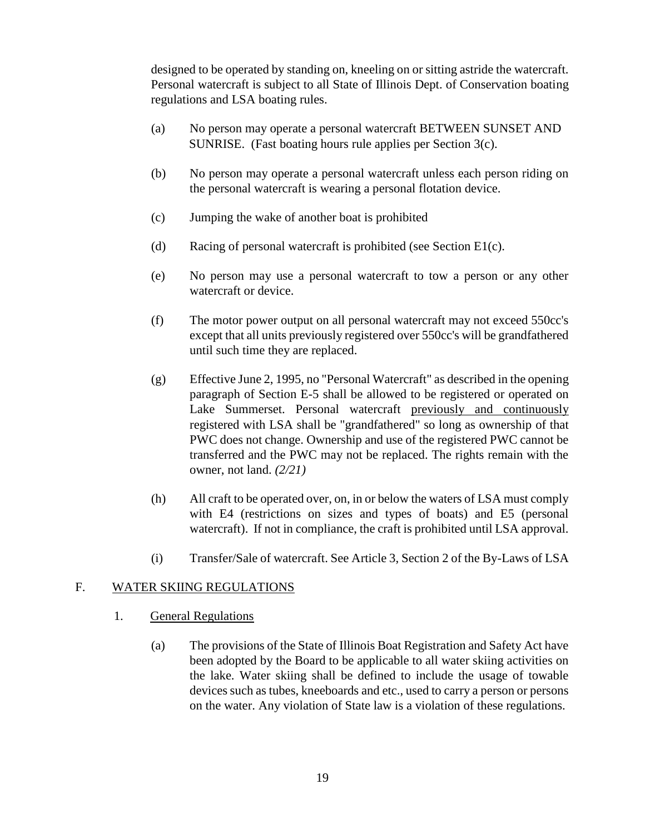designed to be operated by standing on, kneeling on or sitting astride the watercraft. Personal watercraft is subject to all State of Illinois Dept. of Conservation boating regulations and LSA boating rules.

- (a) No person may operate a personal watercraft BETWEEN SUNSET AND SUNRISE. (Fast boating hours rule applies per Section 3(c).
- (b) No person may operate a personal watercraft unless each person riding on the personal watercraft is wearing a personal flotation device.
- (c) Jumping the wake of another boat is prohibited
- (d) Racing of personal watercraft is prohibited (see Section E1(c).
- (e) No person may use a personal watercraft to tow a person or any other watercraft or device.
- (f) The motor power output on all personal watercraft may not exceed 550cc's except that all units previously registered over 550cc's will be grandfathered until such time they are replaced.
- (g) Effective June 2, 1995, no "Personal Watercraft" as described in the opening paragraph of Section E-5 shall be allowed to be registered or operated on Lake Summerset. Personal watercraft previously and continuously registered with LSA shall be "grandfathered" so long as ownership of that PWC does not change. Ownership and use of the registered PWC cannot be transferred and the PWC may not be replaced. The rights remain with the owner, not land. *(2/21)*
- (h) All craft to be operated over, on, in or below the waters of LSA must comply with E4 (restrictions on sizes and types of boats) and E5 (personal watercraft). If not in compliance, the craft is prohibited until LSA approval.
- (i) Transfer/Sale of watercraft. See Article 3, Section 2 of the By-Laws of LSA

# F. WATER SKIING REGULATIONS

- 1. General Regulations
	- (a) The provisions of the State of Illinois Boat Registration and Safety Act have been adopted by the Board to be applicable to all water skiing activities on the lake. Water skiing shall be defined to include the usage of towable devices such as tubes, kneeboards and etc., used to carry a person or persons on the water. Any violation of State law is a violation of these regulations.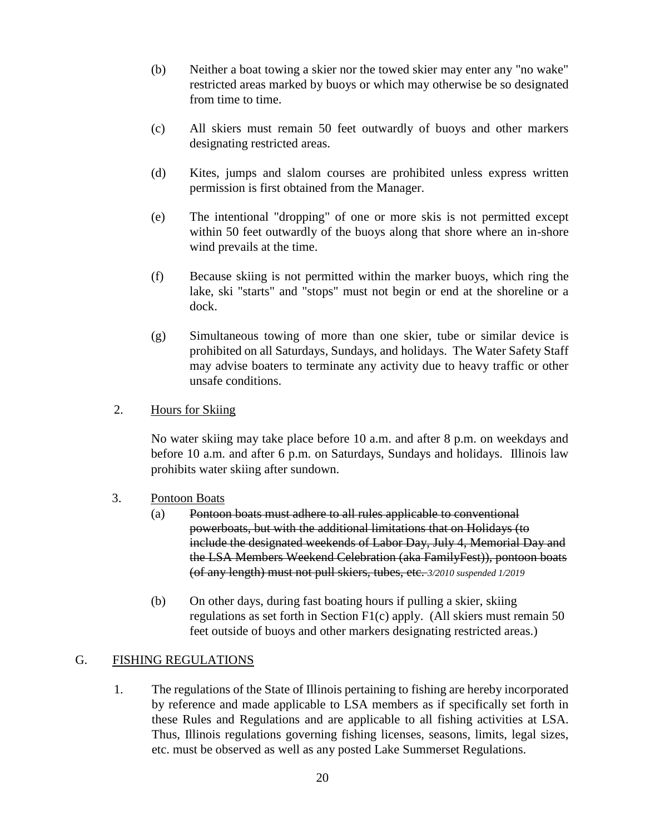- (b) Neither a boat towing a skier nor the towed skier may enter any "no wake" restricted areas marked by buoys or which may otherwise be so designated from time to time.
- (c) All skiers must remain 50 feet outwardly of buoys and other markers designating restricted areas.
- (d) Kites, jumps and slalom courses are prohibited unless express written permission is first obtained from the Manager.
- (e) The intentional "dropping" of one or more skis is not permitted except within 50 feet outwardly of the buoys along that shore where an in-shore wind prevails at the time.
- (f) Because skiing is not permitted within the marker buoys, which ring the lake, ski "starts" and "stops" must not begin or end at the shoreline or a dock.
- (g) Simultaneous towing of more than one skier, tube or similar device is prohibited on all Saturdays, Sundays, and holidays. The Water Safety Staff may advise boaters to terminate any activity due to heavy traffic or other unsafe conditions.
- 2. Hours for Skiing

No water skiing may take place before 10 a.m. and after 8 p.m. on weekdays and before 10 a.m. and after 6 p.m. on Saturdays, Sundays and holidays. Illinois law prohibits water skiing after sundown.

- 3. Pontoon Boats
	- (a) Pontoon boats must adhere to all rules applicable to conventional powerboats, but with the additional limitations that on Holidays (to include the designated weekends of Labor Day, July 4, Memorial Day and the LSA Members Weekend Celebration (aka FamilyFest)), pontoon boats (of any length) must not pull skiers, tubes, etc. *3/2010 suspended 1/2019*
	- (b) On other days, during fast boating hours if pulling a skier, skiing regulations as set forth in Section F1(c) apply. (All skiers must remain 50 feet outside of buoys and other markers designating restricted areas.)

### G. FISHING REGULATIONS

1. The regulations of the State of Illinois pertaining to fishing are hereby incorporated by reference and made applicable to LSA members as if specifically set forth in these Rules and Regulations and are applicable to all fishing activities at LSA. Thus, Illinois regulations governing fishing licenses, seasons, limits, legal sizes, etc. must be observed as well as any posted Lake Summerset Regulations.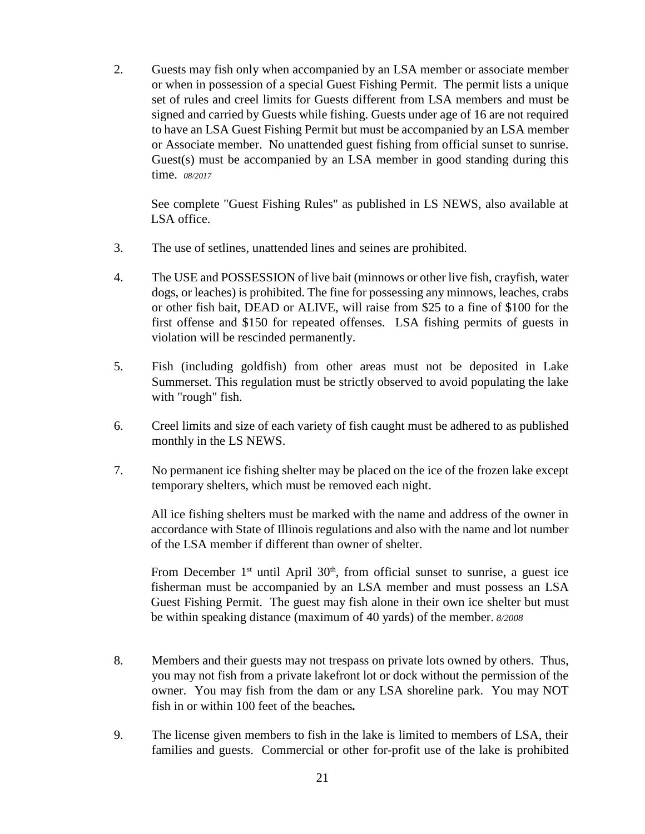2. Guests may fish only when accompanied by an LSA member or associate member or when in possession of a special Guest Fishing Permit. The permit lists a unique set of rules and creel limits for Guests different from LSA members and must be signed and carried by Guests while fishing. Guests under age of 16 are not required to have an LSA Guest Fishing Permit but must be accompanied by an LSA member or Associate member. No unattended guest fishing from official sunset to sunrise. Guest(s) must be accompanied by an LSA member in good standing during this time. *08/2017*

See complete "Guest Fishing Rules" as published in LS NEWS, also available at LSA office.

- 3. The use of setlines, unattended lines and seines are prohibited.
- 4. The USE and POSSESSION of live bait (minnows or other live fish, crayfish, water dogs, or leaches) is prohibited. The fine for possessing any minnows, leaches, crabs or other fish bait, DEAD or ALIVE, will raise from \$25 to a fine of \$100 for the first offense and \$150 for repeated offenses. LSA fishing permits of guests in violation will be rescinded permanently.
- 5. Fish (including goldfish) from other areas must not be deposited in Lake Summerset. This regulation must be strictly observed to avoid populating the lake with "rough" fish.
- 6. Creel limits and size of each variety of fish caught must be adhered to as published monthly in the LS NEWS.
- 7. No permanent ice fishing shelter may be placed on the ice of the frozen lake except temporary shelters, which must be removed each night.

All ice fishing shelters must be marked with the name and address of the owner in accordance with State of Illinois regulations and also with the name and lot number of the LSA member if different than owner of shelter.

From December  $1<sup>st</sup>$  until April  $30<sup>th</sup>$ , from official sunset to sunrise, a guest ice fisherman must be accompanied by an LSA member and must possess an LSA Guest Fishing Permit. The guest may fish alone in their own ice shelter but must be within speaking distance (maximum of 40 yards) of the member. *8/2008*

- 8. Members and their guests may not trespass on private lots owned by others. Thus, you may not fish from a private lakefront lot or dock without the permission of the owner. You may fish from the dam or any LSA shoreline park. You may NOT fish in or within 100 feet of the beaches*.*
- 9. The license given members to fish in the lake is limited to members of LSA, their families and guests. Commercial or other for-profit use of the lake is prohibited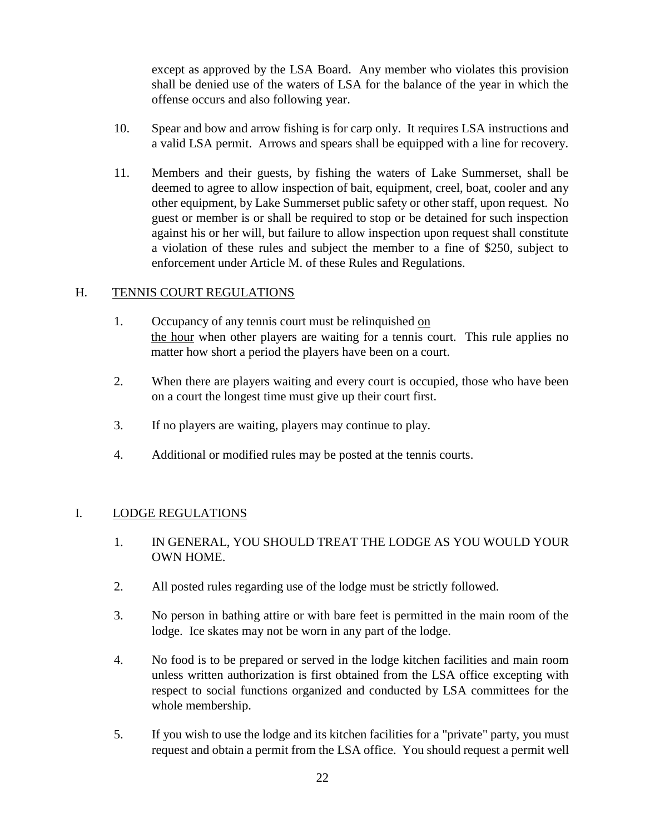except as approved by the LSA Board. Any member who violates this provision shall be denied use of the waters of LSA for the balance of the year in which the offense occurs and also following year.

- 10. Spear and bow and arrow fishing is for carp only. It requires LSA instructions and a valid LSA permit. Arrows and spears shall be equipped with a line for recovery.
- 11. Members and their guests, by fishing the waters of Lake Summerset, shall be deemed to agree to allow inspection of bait, equipment, creel, boat, cooler and any other equipment, by Lake Summerset public safety or other staff, upon request. No guest or member is or shall be required to stop or be detained for such inspection against his or her will, but failure to allow inspection upon request shall constitute a violation of these rules and subject the member to a fine of \$250, subject to enforcement under Article M. of these Rules and Regulations.

### H. TENNIS COURT REGULATIONS

- 1. Occupancy of any tennis court must be relinquished on the hour when other players are waiting for a tennis court. This rule applies no matter how short a period the players have been on a court.
- 2. When there are players waiting and every court is occupied, those who have been on a court the longest time must give up their court first.
- 3. If no players are waiting, players may continue to play.
- 4. Additional or modified rules may be posted at the tennis courts.

### I. LODGE REGULATIONS

- 1. IN GENERAL, YOU SHOULD TREAT THE LODGE AS YOU WOULD YOUR OWN HOME.
- 2. All posted rules regarding use of the lodge must be strictly followed.
- 3. No person in bathing attire or with bare feet is permitted in the main room of the lodge. Ice skates may not be worn in any part of the lodge.
- 4. No food is to be prepared or served in the lodge kitchen facilities and main room unless written authorization is first obtained from the LSA office excepting with respect to social functions organized and conducted by LSA committees for the whole membership.
- 5. If you wish to use the lodge and its kitchen facilities for a "private" party, you must request and obtain a permit from the LSA office. You should request a permit well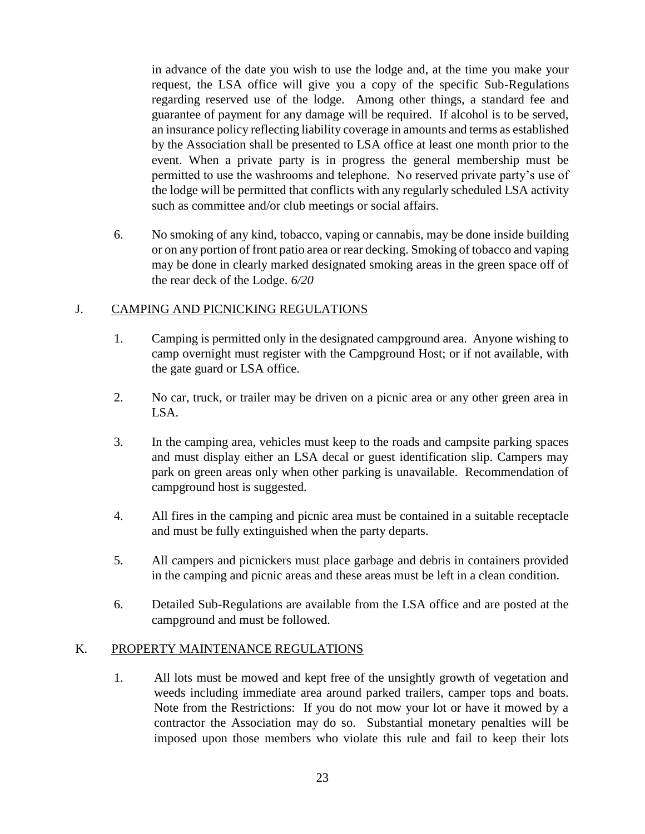in advance of the date you wish to use the lodge and, at the time you make your request, the LSA office will give you a copy of the specific Sub-Regulations regarding reserved use of the lodge. Among other things, a standard fee and guarantee of payment for any damage will be required. If alcohol is to be served, an insurance policy reflecting liability coverage in amounts and terms as established by the Association shall be presented to LSA office at least one month prior to the event. When a private party is in progress the general membership must be permitted to use the washrooms and telephone. No reserved private party's use of the lodge will be permitted that conflicts with any regularly scheduled LSA activity such as committee and/or club meetings or social affairs.

6. No smoking of any kind, tobacco, vaping or cannabis, may be done inside building or on any portion of front patio area or rear decking. Smoking of tobacco and vaping may be done in clearly marked designated smoking areas in the green space off of the rear deck of the Lodge. *6/20*

# J. CAMPING AND PICNICKING REGULATIONS

- 1. Camping is permitted only in the designated campground area. Anyone wishing to camp overnight must register with the Campground Host; or if not available, with the gate guard or LSA office.
- 2. No car, truck, or trailer may be driven on a picnic area or any other green area in LSA.
- 3. In the camping area, vehicles must keep to the roads and campsite parking spaces and must display either an LSA decal or guest identification slip. Campers may park on green areas only when other parking is unavailable. Recommendation of campground host is suggested.
- 4. All fires in the camping and picnic area must be contained in a suitable receptacle and must be fully extinguished when the party departs.
- 5. All campers and picnickers must place garbage and debris in containers provided in the camping and picnic areas and these areas must be left in a clean condition.
- 6. Detailed Sub-Regulations are available from the LSA office and are posted at the campground and must be followed.

# K. PROPERTY MAINTENANCE REGULATIONS

1. All lots must be mowed and kept free of the unsightly growth of vegetation and weeds including immediate area around parked trailers, camper tops and boats. Note from the Restrictions: If you do not mow your lot or have it mowed by a contractor the Association may do so. Substantial monetary penalties will be imposed upon those members who violate this rule and fail to keep their lots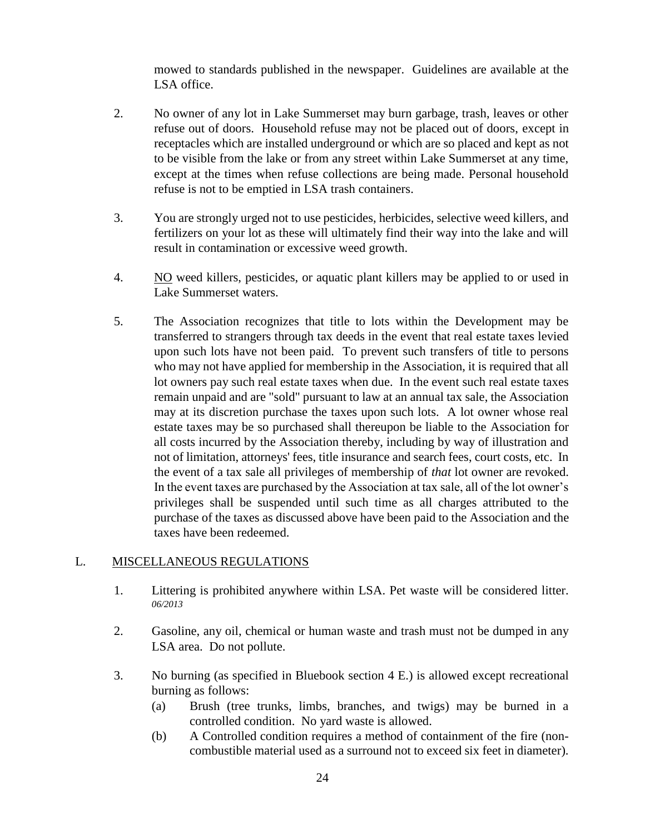mowed to standards published in the newspaper. Guidelines are available at the LSA office.

- 2. No owner of any lot in Lake Summerset may burn garbage, trash, leaves or other refuse out of doors. Household refuse may not be placed out of doors, except in receptacles which are installed underground or which are so placed and kept as not to be visible from the lake or from any street within Lake Summerset at any time, except at the times when refuse collections are being made. Personal household refuse is not to be emptied in LSA trash containers.
- 3. You are strongly urged not to use pesticides, herbicides, selective weed killers, and fertilizers on your lot as these will ultimately find their way into the lake and will result in contamination or excessive weed growth.
- 4. NO weed killers, pesticides, or aquatic plant killers may be applied to or used in Lake Summerset waters.
- 5. The Association recognizes that title to lots within the Development may be transferred to strangers through tax deeds in the event that real estate taxes levied upon such lots have not been paid. To prevent such transfers of title to persons who may not have applied for membership in the Association, it is required that all lot owners pay such real estate taxes when due. In the event such real estate taxes remain unpaid and are "sold" pursuant to law at an annual tax sale, the Association may at its discretion purchase the taxes upon such lots. A lot owner whose real estate taxes may be so purchased shall thereupon be liable to the Association for all costs incurred by the Association thereby, including by way of illustration and not of limitation, attorneys' fees, title insurance and search fees, court costs, etc. In the event of a tax sale all privileges of membership of *that* lot owner are revoked. In the event taxes are purchased by the Association at tax sale, all of the lot owner's privileges shall be suspended until such time as all charges attributed to the purchase of the taxes as discussed above have been paid to the Association and the taxes have been redeemed.

# L. MISCELLANEOUS REGULATIONS

- 1. Littering is prohibited anywhere within LSA. Pet waste will be considered litter. *06/2013*
- 2. Gasoline, any oil, chemical or human waste and trash must not be dumped in any LSA area. Do not pollute.
- 3. No burning (as specified in Bluebook section 4 E.) is allowed except recreational burning as follows:
	- (a) Brush (tree trunks, limbs, branches, and twigs) may be burned in a controlled condition. No yard waste is allowed.
	- (b) A Controlled condition requires a method of containment of the fire (noncombustible material used as a surround not to exceed six feet in diameter).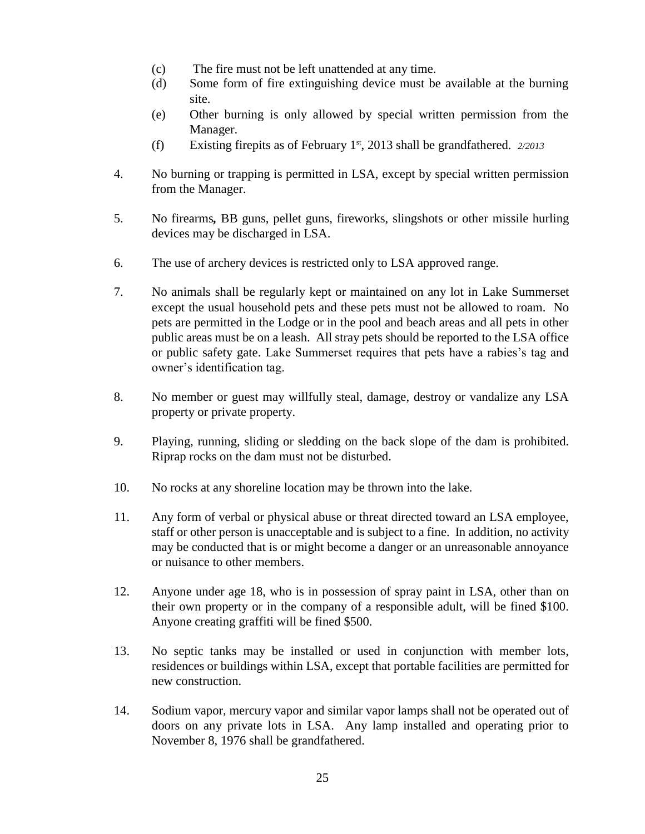- (c) The fire must not be left unattended at any time.
- (d) Some form of fire extinguishing device must be available at the burning site.
- (e) Other burning is only allowed by special written permission from the Manager.
- (f) Existing firepits as of February 1st, 2013 shall be grandfathered. *2/2013*
- 4. No burning or trapping is permitted in LSA, except by special written permission from the Manager.
- 5. No firearms*,* BB guns, pellet guns, fireworks, slingshots or other missile hurling devices may be discharged in LSA.
- 6. The use of archery devices is restricted only to LSA approved range.
- 7. No animals shall be regularly kept or maintained on any lot in Lake Summerset except the usual household pets and these pets must not be allowed to roam. No pets are permitted in the Lodge or in the pool and beach areas and all pets in other public areas must be on a leash. All stray pets should be reported to the LSA office or public safety gate. Lake Summerset requires that pets have a rabies's tag and owner's identification tag.
- 8. No member or guest may willfully steal, damage, destroy or vandalize any LSA property or private property.
- 9. Playing, running, sliding or sledding on the back slope of the dam is prohibited. Riprap rocks on the dam must not be disturbed.
- 10. No rocks at any shoreline location may be thrown into the lake.
- 11. Any form of verbal or physical abuse or threat directed toward an LSA employee, staff or other person is unacceptable and is subject to a fine. In addition, no activity may be conducted that is or might become a danger or an unreasonable annoyance or nuisance to other members.
- 12. Anyone under age 18, who is in possession of spray paint in LSA, other than on their own property or in the company of a responsible adult, will be fined \$100. Anyone creating graffiti will be fined \$500.
- 13. No septic tanks may be installed or used in conjunction with member lots, residences or buildings within LSA, except that portable facilities are permitted for new construction.
- 14. Sodium vapor, mercury vapor and similar vapor lamps shall not be operated out of doors on any private lots in LSA. Any lamp installed and operating prior to November 8, 1976 shall be grandfathered.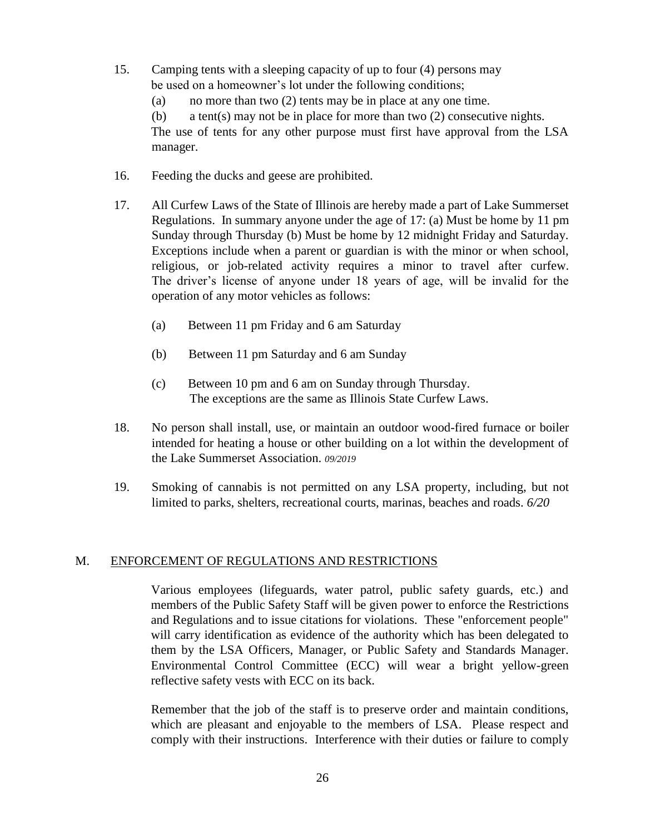- 15. Camping tents with a sleeping capacity of up to four (4) persons may be used on a homeowner's lot under the following conditions;
	- (a) no more than two (2) tents may be in place at any one time.

(b) a tent(s) may not be in place for more than two (2) consecutive nights. The use of tents for any other purpose must first have approval from the LSA manager.

- 16. Feeding the ducks and geese are prohibited.
- 17. All Curfew Laws of the State of Illinois are hereby made a part of Lake Summerset Regulations. In summary anyone under the age of 17: (a) Must be home by 11 pm Sunday through Thursday (b) Must be home by 12 midnight Friday and Saturday. Exceptions include when a parent or guardian is with the minor or when school, religious, or job-related activity requires a minor to travel after curfew. The driver's license of anyone under 18 years of age, will be invalid for the operation of any motor vehicles as follows:
	- (a) Between 11 pm Friday and 6 am Saturday
	- (b) Between 11 pm Saturday and 6 am Sunday
	- (c) Between 10 pm and 6 am on Sunday through Thursday. The exceptions are the same as Illinois State Curfew Laws.
- 18. No person shall install, use, or maintain an outdoor wood-fired furnace or boiler intended for heating a house or other building on a lot within the development of the Lake Summerset Association. *09/2019*
- 19. Smoking of cannabis is not permitted on any LSA property, including, but not limited to parks, shelters, recreational courts, marinas, beaches and roads. *6/20*

### M. ENFORCEMENT OF REGULATIONS AND RESTRICTIONS

Various employees (lifeguards, water patrol, public safety guards, etc.) and members of the Public Safety Staff will be given power to enforce the Restrictions and Regulations and to issue citations for violations. These "enforcement people" will carry identification as evidence of the authority which has been delegated to them by the LSA Officers, Manager, or Public Safety and Standards Manager. Environmental Control Committee (ECC) will wear a bright yellow-green reflective safety vests with ECC on its back.

Remember that the job of the staff is to preserve order and maintain conditions, which are pleasant and enjoyable to the members of LSA. Please respect and comply with their instructions. Interference with their duties or failure to comply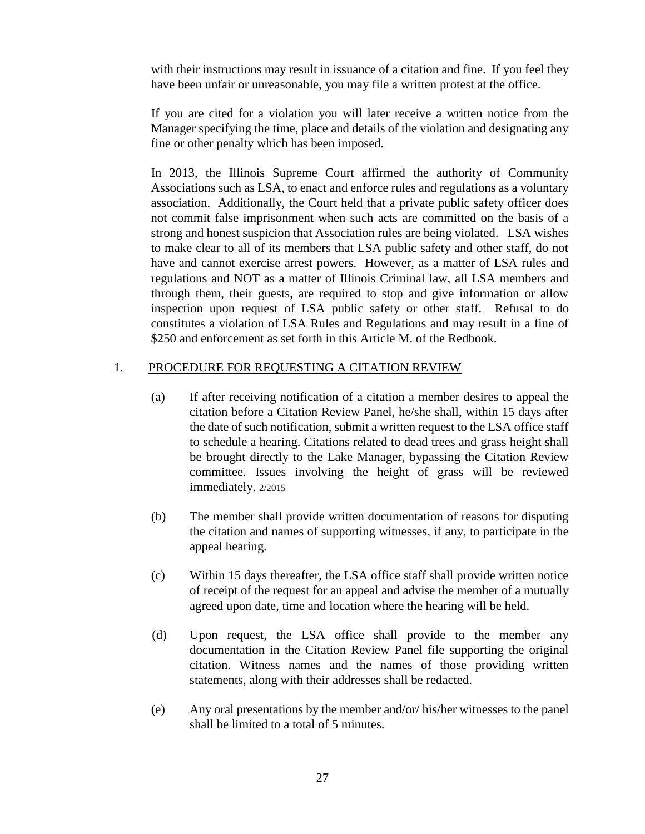with their instructions may result in issuance of a citation and fine. If you feel they have been unfair or unreasonable, you may file a written protest at the office.

If you are cited for a violation you will later receive a written notice from the Manager specifying the time, place and details of the violation and designating any fine or other penalty which has been imposed.

In 2013, the Illinois Supreme Court affirmed the authority of Community Associations such as LSA, to enact and enforce rules and regulations as a voluntary association. Additionally, the Court held that a private public safety officer does not commit false imprisonment when such acts are committed on the basis of a strong and honest suspicion that Association rules are being violated. LSA wishes to make clear to all of its members that LSA public safety and other staff, do not have and cannot exercise arrest powers. However, as a matter of LSA rules and regulations and NOT as a matter of Illinois Criminal law, all LSA members and through them, their guests, are required to stop and give information or allow inspection upon request of LSA public safety or other staff. Refusal to do constitutes a violation of LSA Rules and Regulations and may result in a fine of \$250 and enforcement as set forth in this Article M. of the Redbook.

### 1*.* PROCEDURE FOR REQUESTING A CITATION REVIEW

- (a) If after receiving notification of a citation a member desires to appeal the citation before a Citation Review Panel, he/she shall, within 15 days after the date of such notification, submit a written request to the LSA office staff to schedule a hearing. Citations related to dead trees and grass height shall be brought directly to the Lake Manager, bypassing the Citation Review committee. Issues involving the height of grass will be reviewed immediately. 2/2015
- (b) The member shall provide written documentation of reasons for disputing the citation and names of supporting witnesses, if any, to participate in the appeal hearing.
- (c) Within 15 days thereafter, the LSA office staff shall provide written notice of receipt of the request for an appeal and advise the member of a mutually agreed upon date, time and location where the hearing will be held.
- (d) Upon request, the LSA office shall provide to the member any documentation in the Citation Review Panel file supporting the original citation. Witness names and the names of those providing written statements, along with their addresses shall be redacted.
- (e) Any oral presentations by the member and/or/ his/her witnesses to the panel shall be limited to a total of 5 minutes.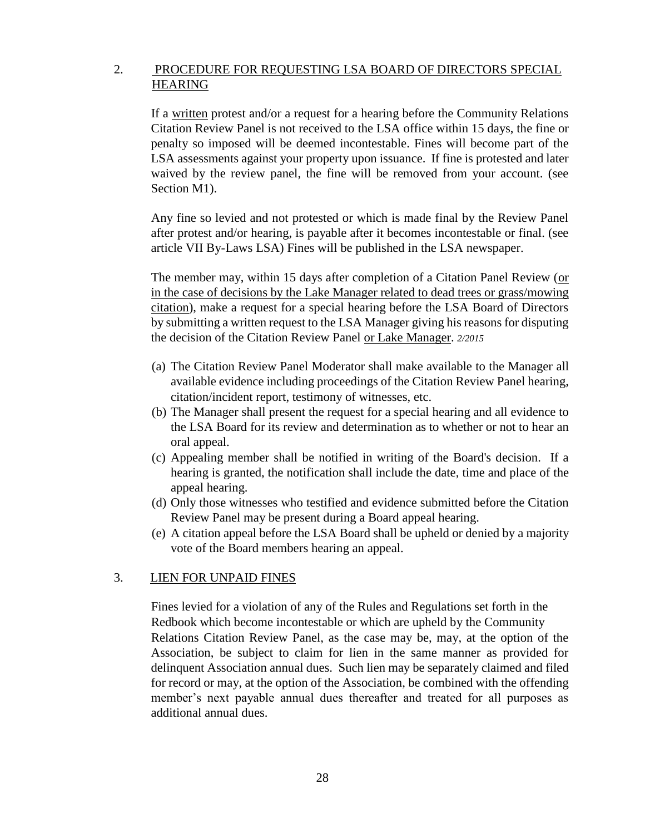# 2. PROCEDURE FOR REQUESTING LSA BOARD OF DIRECTORS SPECIAL HEARING

If a written protest and/or a request for a hearing before the Community Relations Citation Review Panel is not received to the LSA office within 15 days, the fine or penalty so imposed will be deemed incontestable. Fines will become part of the LSA assessments against your property upon issuance. If fine is protested and later waived by the review panel, the fine will be removed from your account. (see Section M1).

Any fine so levied and not protested or which is made final by the Review Panel after protest and/or hearing, is payable after it becomes incontestable or final. (see article VII By-Laws LSA) Fines will be published in the LSA newspaper.

The member may, within 15 days after completion of a Citation Panel Review (or in the case of decisions by the Lake Manager related to dead trees or grass/mowing citation), make a request for a special hearing before the LSA Board of Directors by submitting a written request to the LSA Manager giving his reasons for disputing the decision of the Citation Review Panel or Lake Manager. *2/2015*

- (a) The Citation Review Panel Moderator shall make available to the Manager all available evidence including proceedings of the Citation Review Panel hearing, citation/incident report, testimony of witnesses, etc.
- (b) The Manager shall present the request for a special hearing and all evidence to the LSA Board for its review and determination as to whether or not to hear an oral appeal.
- (c) Appealing member shall be notified in writing of the Board's decision. If a hearing is granted, the notification shall include the date, time and place of the appeal hearing.
- (d) Only those witnesses who testified and evidence submitted before the Citation Review Panel may be present during a Board appeal hearing.
- (e) A citation appeal before the LSA Board shall be upheld or denied by a majority vote of the Board members hearing an appeal.

### 3. LIEN FOR UNPAID FINES

Fines levied for a violation of any of the Rules and Regulations set forth in the Redbook which become incontestable or which are upheld by the Community Relations Citation Review Panel, as the case may be, may, at the option of the Association, be subject to claim for lien in the same manner as provided for delinquent Association annual dues. Such lien may be separately claimed and filed for record or may, at the option of the Association, be combined with the offending member's next payable annual dues thereafter and treated for all purposes as additional annual dues.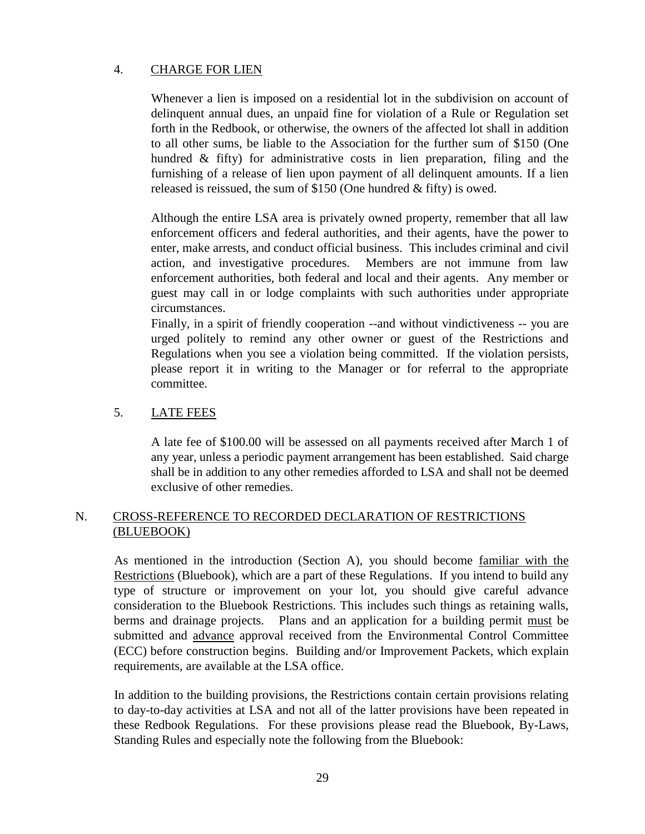# 4. CHARGE FOR LIEN

Whenever a lien is imposed on a residential lot in the subdivision on account of delinquent annual dues, an unpaid fine for violation of a Rule or Regulation set forth in the Redbook, or otherwise, the owners of the affected lot shall in addition to all other sums, be liable to the Association for the further sum of \$150 (One hundred & fifty) for administrative costs in lien preparation, filing and the furnishing of a release of lien upon payment of all delinquent amounts. If a lien released is reissued, the sum of \$150 (One hundred & fifty) is owed.

Although the entire LSA area is privately owned property, remember that all law enforcement officers and federal authorities, and their agents, have the power to enter, make arrests, and conduct official business. This includes criminal and civil action, and investigative procedures. Members are not immune from law enforcement authorities, both federal and local and their agents. Any member or guest may call in or lodge complaints with such authorities under appropriate circumstances.

Finally, in a spirit of friendly cooperation --and without vindictiveness -- you are urged politely to remind any other owner or guest of the Restrictions and Regulations when you see a violation being committed. If the violation persists, please report it in writing to the Manager or for referral to the appropriate committee.

# 5. LATE FEES

A late fee of \$100.00 will be assessed on all payments received after March 1 of any year, unless a periodic payment arrangement has been established. Said charge shall be in addition to any other remedies afforded to LSA and shall not be deemed exclusive of other remedies.

# N. CROSS-REFERENCE TO RECORDED DECLARATION OF RESTRICTIONS (BLUEBOOK)

As mentioned in the introduction (Section A), you should become familiar with the Restrictions (Bluebook), which are a part of these Regulations. If you intend to build any type of structure or improvement on your lot, you should give careful advance consideration to the Bluebook Restrictions. This includes such things as retaining walls, berms and drainage projects. Plans and an application for a building permit must be submitted and advance approval received from the Environmental Control Committee (ECC) before construction begins. Building and/or Improvement Packets, which explain requirements, are available at the LSA office.

In addition to the building provisions, the Restrictions contain certain provisions relating to day-to-day activities at LSA and not all of the latter provisions have been repeated in these Redbook Regulations. For these provisions please read the Bluebook, By-Laws, Standing Rules and especially note the following from the Bluebook: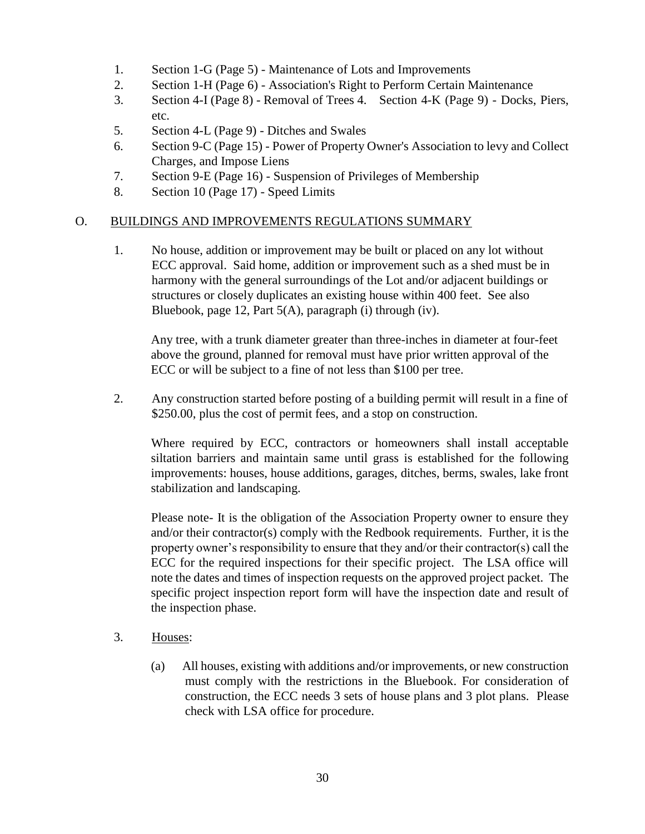- 1. Section 1-G (Page 5) Maintenance of Lots and Improvements
- 2. Section 1-H (Page 6) Association's Right to Perform Certain Maintenance
- 3. Section 4-I (Page 8) Removal of Trees 4. Section 4-K (Page 9) Docks, Piers, etc.
- 5. Section 4-L (Page 9) Ditches and Swales
- 6. Section 9-C (Page 15) Power of Property Owner's Association to levy and Collect Charges, and Impose Liens
- 7. Section 9-E (Page 16) Suspension of Privileges of Membership
- 8. Section 10 (Page 17) Speed Limits

### O. BUILDINGS AND IMPROVEMENTS REGULATIONS SUMMARY

1. No house, addition or improvement may be built or placed on any lot without ECC approval. Said home, addition or improvement such as a shed must be in harmony with the general surroundings of the Lot and/or adjacent buildings or structures or closely duplicates an existing house within 400 feet. See also Bluebook, page 12, Part 5(A), paragraph (i) through (iv).

Any tree, with a trunk diameter greater than three-inches in diameter at four-feet above the ground, planned for removal must have prior written approval of the ECC or will be subject to a fine of not less than \$100 per tree.

2. Any construction started before posting of a building permit will result in a fine of \$250.00, plus the cost of permit fees, and a stop on construction.

Where required by ECC, contractors or homeowners shall install acceptable siltation barriers and maintain same until grass is established for the following improvements: houses, house additions, garages, ditches, berms, swales, lake front stabilization and landscaping.

Please note- It is the obligation of the Association Property owner to ensure they and/or their contractor(s) comply with the Redbook requirements. Further, it is the property owner's responsibility to ensure that they and/or their contractor(s) call the ECC for the required inspections for their specific project. The LSA office will note the dates and times of inspection requests on the approved project packet. The specific project inspection report form will have the inspection date and result of the inspection phase.

- 3. Houses:
	- (a) All houses, existing with additions and/or improvements, or new construction must comply with the restrictions in the Bluebook. For consideration of construction, the ECC needs 3 sets of house plans and 3 plot plans. Please check with LSA office for procedure.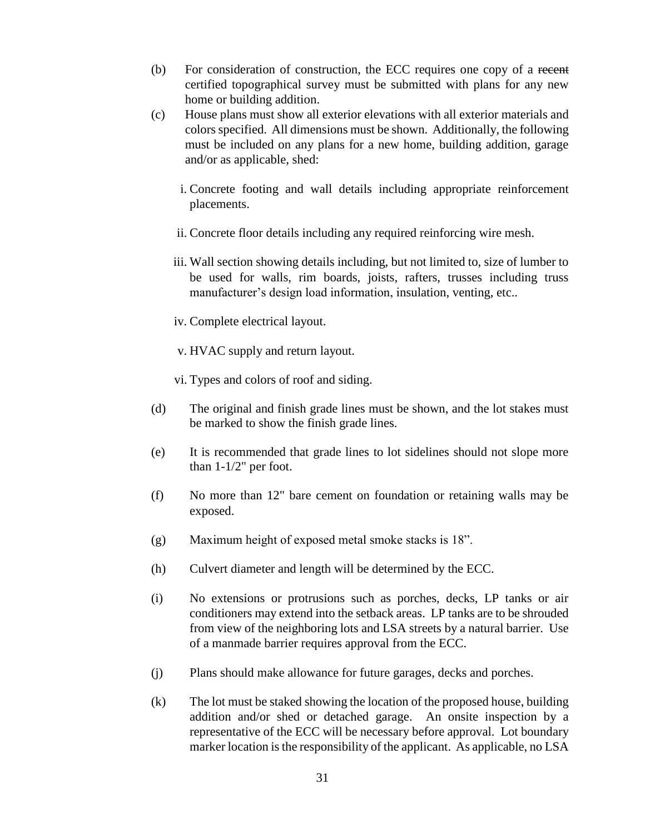- (b) For consideration of construction, the ECC requires one copy of a recent certified topographical survey must be submitted with plans for any new home or building addition.
- (c) House plans must show all exterior elevations with all exterior materials and colors specified. All dimensions must be shown. Additionally, the following must be included on any plans for a new home, building addition, garage and/or as applicable, shed:
	- i. Concrete footing and wall details including appropriate reinforcement placements.
	- ii. Concrete floor details including any required reinforcing wire mesh.
	- iii. Wall section showing details including, but not limited to, size of lumber to be used for walls, rim boards, joists, rafters, trusses including truss manufacturer's design load information, insulation, venting, etc..
	- iv. Complete electrical layout.
	- v. HVAC supply and return layout.
	- vi. Types and colors of roof and siding.
- (d) The original and finish grade lines must be shown, and the lot stakes must be marked to show the finish grade lines.
- (e) It is recommended that grade lines to lot sidelines should not slope more than 1-1/2" per foot.
- (f) No more than 12" bare cement on foundation or retaining walls may be exposed.
- (g) Maximum height of exposed metal smoke stacks is 18".
- (h) Culvert diameter and length will be determined by the ECC.
- (i) No extensions or protrusions such as porches, decks, LP tanks or air conditioners may extend into the setback areas. LP tanks are to be shrouded from view of the neighboring lots and LSA streets by a natural barrier. Use of a manmade barrier requires approval from the ECC.
- (j) Plans should make allowance for future garages, decks and porches.
- (k) The lot must be staked showing the location of the proposed house, building addition and/or shed or detached garage. An onsite inspection by a representative of the ECC will be necessary before approval. Lot boundary marker location is the responsibility of the applicant. As applicable, no LSA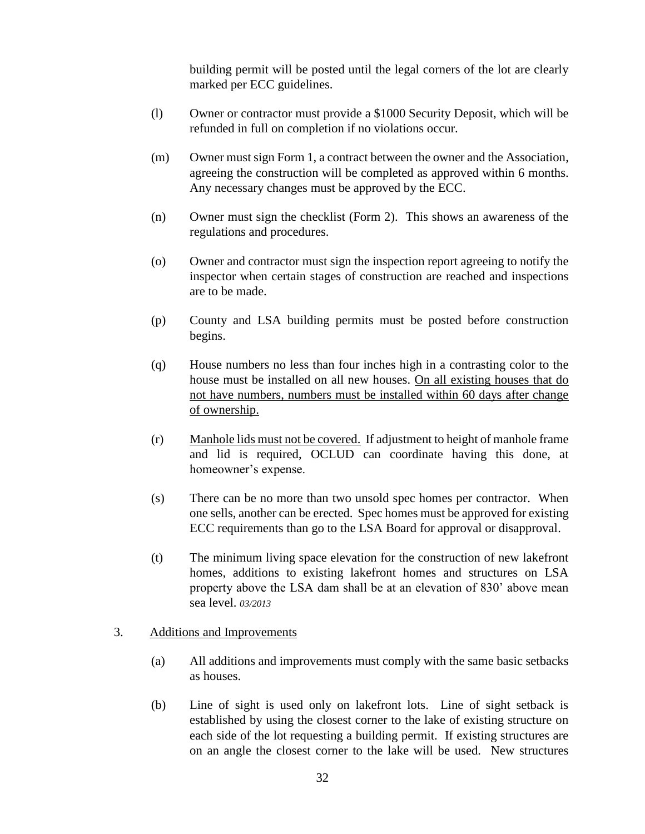building permit will be posted until the legal corners of the lot are clearly marked per ECC guidelines.

- (l) Owner or contractor must provide a \$1000 Security Deposit, which will be refunded in full on completion if no violations occur.
- (m) Owner must sign Form 1, a contract between the owner and the Association, agreeing the construction will be completed as approved within 6 months. Any necessary changes must be approved by the ECC.
- (n) Owner must sign the checklist (Form 2). This shows an awareness of the regulations and procedures.
- (o) Owner and contractor must sign the inspection report agreeing to notify the inspector when certain stages of construction are reached and inspections are to be made.
- (p) County and LSA building permits must be posted before construction begins.
- (q) House numbers no less than four inches high in a contrasting color to the house must be installed on all new houses. On all existing houses that do not have numbers, numbers must be installed within 60 days after change of ownership.
- (r) Manhole lids must not be covered. If adjustment to height of manhole frame and lid is required, OCLUD can coordinate having this done, at homeowner's expense.
- (s) There can be no more than two unsold spec homes per contractor. When one sells, another can be erected. Spec homes must be approved for existing ECC requirements than go to the LSA Board for approval or disapproval.
- (t) The minimum living space elevation for the construction of new lakefront homes, additions to existing lakefront homes and structures on LSA property above the LSA dam shall be at an elevation of 830' above mean sea level. *03/2013*

### 3. Additions and Improvements

- (a) All additions and improvements must comply with the same basic setbacks as houses.
- (b) Line of sight is used only on lakefront lots. Line of sight setback is established by using the closest corner to the lake of existing structure on each side of the lot requesting a building permit. If existing structures are on an angle the closest corner to the lake will be used. New structures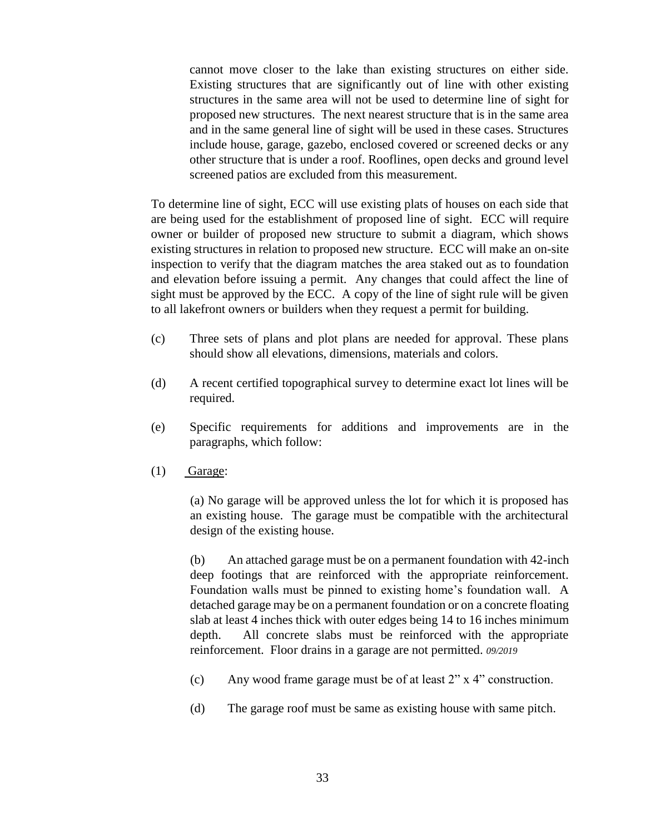cannot move closer to the lake than existing structures on either side. Existing structures that are significantly out of line with other existing structures in the same area will not be used to determine line of sight for proposed new structures. The next nearest structure that is in the same area and in the same general line of sight will be used in these cases. Structures include house, garage, gazebo, enclosed covered or screened decks or any other structure that is under a roof. Rooflines, open decks and ground level screened patios are excluded from this measurement.

To determine line of sight, ECC will use existing plats of houses on each side that are being used for the establishment of proposed line of sight. ECC will require owner or builder of proposed new structure to submit a diagram, which shows existing structures in relation to proposed new structure. ECC will make an on-site inspection to verify that the diagram matches the area staked out as to foundation and elevation before issuing a permit. Any changes that could affect the line of sight must be approved by the ECC. A copy of the line of sight rule will be given to all lakefront owners or builders when they request a permit for building.

- (c) Three sets of plans and plot plans are needed for approval. These plans should show all elevations, dimensions, materials and colors.
- (d) A recent certified topographical survey to determine exact lot lines will be required.
- (e) Specific requirements for additions and improvements are in the paragraphs, which follow:
- $(1)$  Garage:

(a) No garage will be approved unless the lot for which it is proposed has an existing house. The garage must be compatible with the architectural design of the existing house.

(b) An attached garage must be on a permanent foundation with 42-inch deep footings that are reinforced with the appropriate reinforcement. Foundation walls must be pinned to existing home's foundation wall. A detached garage may be on a permanent foundation or on a concrete floating slab at least 4 inches thick with outer edges being 14 to 16 inches minimum depth. All concrete slabs must be reinforced with the appropriate reinforcement. Floor drains in a garage are not permitted. *09/2019*

- (c) Any wood frame garage must be of at least 2" x 4" construction.
- (d) The garage roof must be same as existing house with same pitch.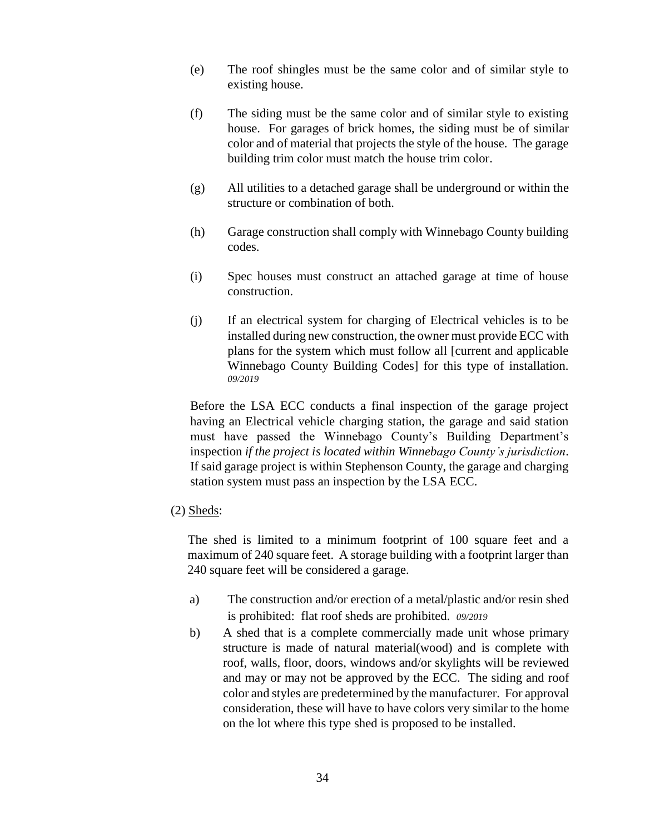- (e) The roof shingles must be the same color and of similar style to existing house.
- (f) The siding must be the same color and of similar style to existing house. For garages of brick homes, the siding must be of similar color and of material that projects the style of the house. The garage building trim color must match the house trim color.
- (g) All utilities to a detached garage shall be underground or within the structure or combination of both.
- (h) Garage construction shall comply with Winnebago County building codes.
- (i) Spec houses must construct an attached garage at time of house construction.
- (j) If an electrical system for charging of Electrical vehicles is to be installed during new construction, the owner must provide ECC with plans for the system which must follow all [current and applicable Winnebago County Building Codes] for this type of installation. *09/2019*

Before the LSA ECC conducts a final inspection of the garage project having an Electrical vehicle charging station, the garage and said station must have passed the Winnebago County's Building Department's inspection *if the project is located within Winnebago County's jurisdiction*. If said garage project is within Stephenson County, the garage and charging station system must pass an inspection by the LSA ECC.

(2) Sheds:

The shed is limited to a minimum footprint of 100 square feet and a maximum of 240 square feet. A storage building with a footprint larger than 240 square feet will be considered a garage.

- a) The construction and/or erection of a metal/plastic and/or resin shed is prohibited: flat roof sheds are prohibited. *09/2019*
- b) A shed that is a complete commercially made unit whose primary structure is made of natural material(wood) and is complete with roof, walls, floor, doors, windows and/or skylights will be reviewed and may or may not be approved by the ECC. The siding and roof color and styles are predetermined by the manufacturer. For approval consideration, these will have to have colors very similar to the home on the lot where this type shed is proposed to be installed.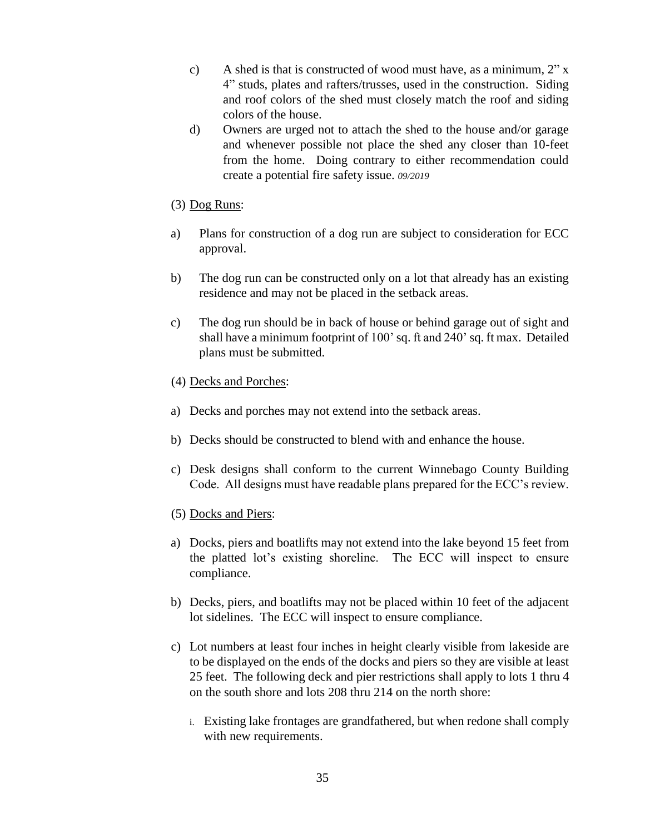- c) A shed is that is constructed of wood must have, as a minimum, 2" x 4" studs, plates and rafters/trusses, used in the construction. Siding and roof colors of the shed must closely match the roof and siding colors of the house.
- d) Owners are urged not to attach the shed to the house and/or garage and whenever possible not place the shed any closer than 10-feet from the home. Doing contrary to either recommendation could create a potential fire safety issue. *09/2019*
- (3) Dog Runs:
- a) Plans for construction of a dog run are subject to consideration for ECC approval.
- b) The dog run can be constructed only on a lot that already has an existing residence and may not be placed in the setback areas.
- c) The dog run should be in back of house or behind garage out of sight and shall have a minimum footprint of 100' sq. ft and 240' sq. ft max. Detailed plans must be submitted.
- (4) Decks and Porches:
- a) Decks and porches may not extend into the setback areas.
- b) Decks should be constructed to blend with and enhance the house.
- c) Desk designs shall conform to the current Winnebago County Building Code. All designs must have readable plans prepared for the ECC's review.
- (5) Docks and Piers:
- a) Docks, piers and boatlifts may not extend into the lake beyond 15 feet from the platted lot's existing shoreline. The ECC will inspect to ensure compliance.
- b) Decks, piers, and boatlifts may not be placed within 10 feet of the adjacent lot sidelines. The ECC will inspect to ensure compliance.
- c) Lot numbers at least four inches in height clearly visible from lakeside are to be displayed on the ends of the docks and piers so they are visible at least 25 feet. The following deck and pier restrictions shall apply to lots 1 thru 4 on the south shore and lots 208 thru 214 on the north shore:
	- i. Existing lake frontages are grandfathered, but when redone shall comply with new requirements.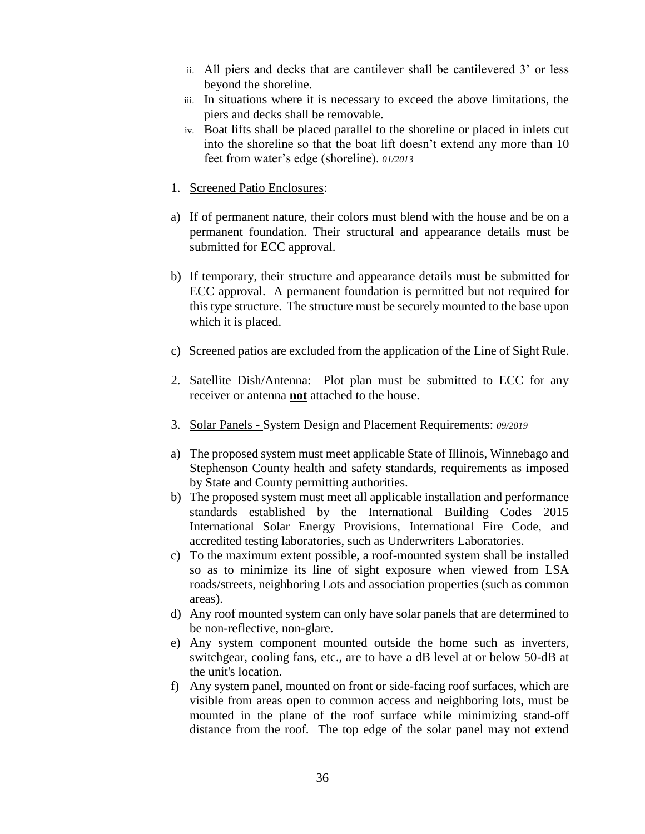- ii. All piers and decks that are cantilever shall be cantilevered 3' or less beyond the shoreline.
- iii. In situations where it is necessary to exceed the above limitations, the piers and decks shall be removable.
- iv. Boat lifts shall be placed parallel to the shoreline or placed in inlets cut into the shoreline so that the boat lift doesn't extend any more than 10 feet from water's edge (shoreline). *01/2013*
- 1. Screened Patio Enclosures:
- a) If of permanent nature, their colors must blend with the house and be on a permanent foundation. Their structural and appearance details must be submitted for ECC approval.
- b) If temporary, their structure and appearance details must be submitted for ECC approval. A permanent foundation is permitted but not required for this type structure. The structure must be securely mounted to the base upon which it is placed.
- c) Screened patios are excluded from the application of the Line of Sight Rule.
- 2. Satellite Dish/Antenna: Plot plan must be submitted to ECC for any receiver or antenna **not** attached to the house.
- 3. Solar Panels System Design and Placement Requirements: *09/2019*
- a) The proposed system must meet applicable State of Illinois, Winnebago and Stephenson County health and safety standards, requirements as imposed by State and County permitting authorities.
- b) The proposed system must meet all applicable installation and performance standards established by the International Building Codes 2015 International Solar Energy Provisions, International Fire Code, and accredited testing laboratories, such as Underwriters Laboratories.
- c) To the maximum extent possible, a roof-mounted system shall be installed so as to minimize its line of sight exposure when viewed from LSA roads/streets, neighboring Lots and association properties (such as common areas).
- d) Any roof mounted system can only have solar panels that are determined to be non-reflective, non-glare.
- e) Any system component mounted outside the home such as inverters, switchgear, cooling fans, etc., are to have a dB level at or below 50-dB at the unit's location.
- f) Any system panel, mounted on front or side-facing roof surfaces, which are visible from areas open to common access and neighboring lots, must be mounted in the plane of the roof surface while minimizing stand-off distance from the roof. The top edge of the solar panel may not extend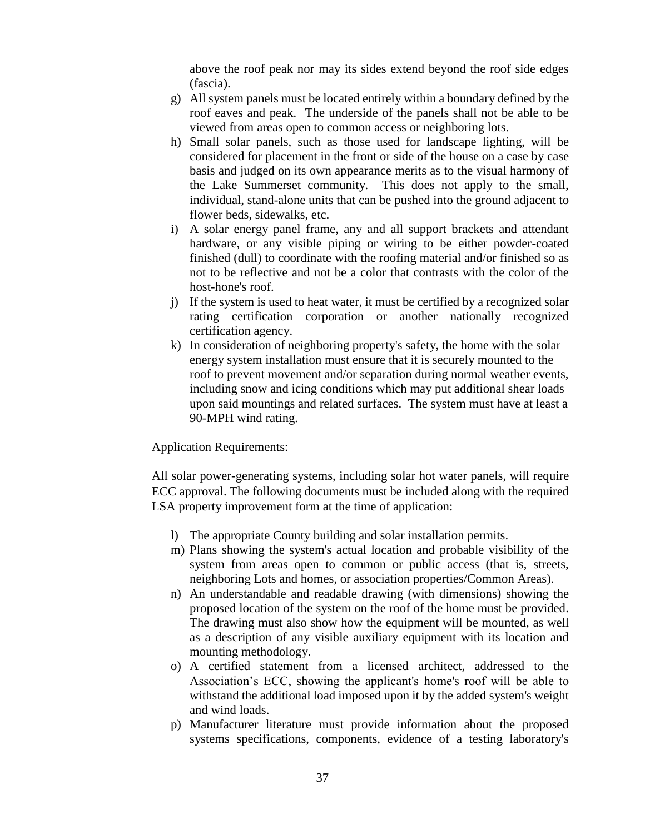above the roof peak nor may its sides extend beyond the roof side edges (fascia).

- g) All system panels must be located entirely within a boundary defined by the roof eaves and peak. The underside of the panels shall not be able to be viewed from areas open to common access or neighboring lots.
- h) Small solar panels, such as those used for landscape lighting, will be considered for placement in the front or side of the house on a case by case basis and judged on its own appearance merits as to the visual harmony of the Lake Summerset community. This does not apply to the small, individual, stand-alone units that can be pushed into the ground adjacent to flower beds, sidewalks, etc.
- i) A solar energy panel frame, any and all support brackets and attendant hardware, or any visible piping or wiring to be either powder-coated finished (dull) to coordinate with the roofing material and/or finished so as not to be reflective and not be a color that contrasts with the color of the host-hone's roof.
- j) If the system is used to heat water, it must be certified by a recognized solar rating certification corporation or another nationally recognized certification agency.
- k) In consideration of neighboring property's safety, the home with the solar energy system installation must ensure that it is securely mounted to the roof to prevent movement and/or separation during normal weather events, including snow and icing conditions which may put additional shear loads upon said mountings and related surfaces. The system must have at least a 90-MPH wind rating.

Application Requirements:

All solar power-generating systems, including solar hot water panels, will require ECC approval. The following documents must be included along with the required LSA property improvement form at the time of application:

- l) The appropriate County building and solar installation permits.
- m) Plans showing the system's actual location and probable visibility of the system from areas open to common or public access (that is, streets, neighboring Lots and homes, or association properties/Common Areas).
- n) An understandable and readable drawing (with dimensions) showing the proposed location of the system on the roof of the home must be provided. The drawing must also show how the equipment will be mounted, as well as a description of any visible auxiliary equipment with its location and mounting methodology.
- o) A certified statement from a licensed architect, addressed to the Association's ECC, showing the applicant's home's roof will be able to withstand the additional load imposed upon it by the added system's weight and wind loads.
- p) Manufacturer literature must provide information about the proposed systems specifications, components, evidence of a testing laboratory's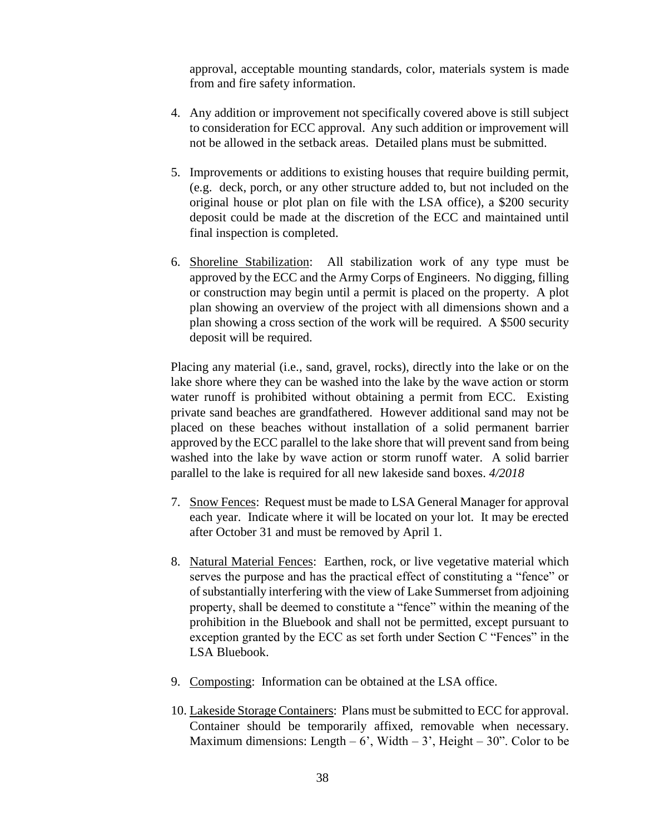approval, acceptable mounting standards, color, materials system is made from and fire safety information.

- 4. Any addition or improvement not specifically covered above is still subject to consideration for ECC approval. Any such addition or improvement will not be allowed in the setback areas. Detailed plans must be submitted.
- 5. Improvements or additions to existing houses that require building permit, (e.g. deck, porch, or any other structure added to, but not included on the original house or plot plan on file with the LSA office), a \$200 security deposit could be made at the discretion of the ECC and maintained until final inspection is completed.
- 6. Shoreline Stabilization: All stabilization work of any type must be approved by the ECC and the Army Corps of Engineers. No digging, filling or construction may begin until a permit is placed on the property. A plot plan showing an overview of the project with all dimensions shown and a plan showing a cross section of the work will be required. A \$500 security deposit will be required.

Placing any material (i.e., sand, gravel, rocks), directly into the lake or on the lake shore where they can be washed into the lake by the wave action or storm water runoff is prohibited without obtaining a permit from ECC. Existing private sand beaches are grandfathered. However additional sand may not be placed on these beaches without installation of a solid permanent barrier approved by the ECC parallel to the lake shore that will prevent sand from being washed into the lake by wave action or storm runoff water. A solid barrier parallel to the lake is required for all new lakeside sand boxes. *4/2018*

- 7. Snow Fences: Request must be made to LSA General Manager for approval each year. Indicate where it will be located on your lot. It may be erected after October 31 and must be removed by April 1.
- 8. Natural Material Fences: Earthen, rock, or live vegetative material which serves the purpose and has the practical effect of constituting a "fence" or of substantially interfering with the view of Lake Summerset from adjoining property, shall be deemed to constitute a "fence" within the meaning of the prohibition in the Bluebook and shall not be permitted, except pursuant to exception granted by the ECC as set forth under Section C "Fences" in the LSA Bluebook.
- 9. Composting: Information can be obtained at the LSA office.
- 10. Lakeside Storage Containers: Plans must be submitted to ECC for approval. Container should be temporarily affixed, removable when necessary. Maximum dimensions: Length – 6', Width – 3', Height – 30". Color to be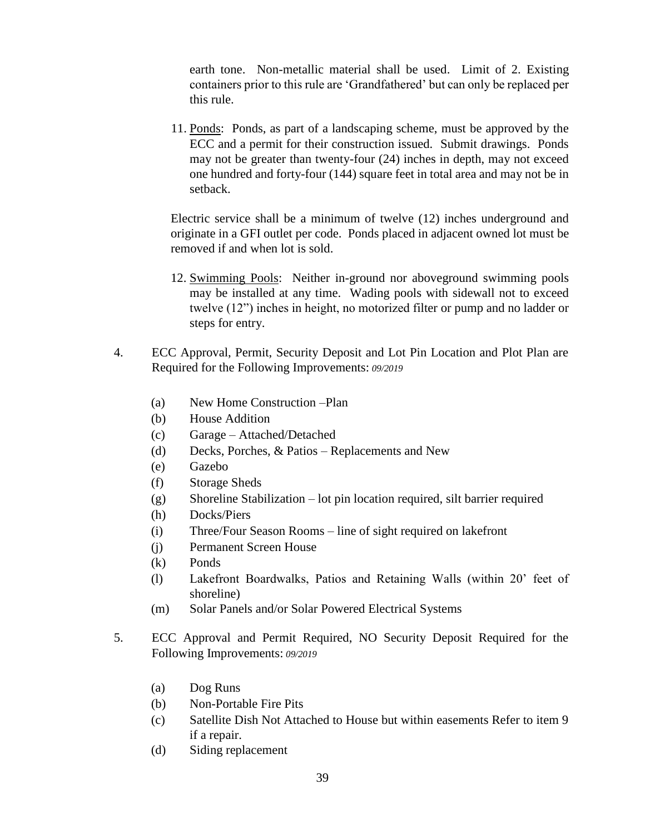earth tone. Non-metallic material shall be used. Limit of 2. Existing containers prior to this rule are 'Grandfathered' but can only be replaced per this rule.

11. Ponds: Ponds, as part of a landscaping scheme, must be approved by the ECC and a permit for their construction issued. Submit drawings. Ponds may not be greater than twenty-four (24) inches in depth, may not exceed one hundred and forty-four (144) square feet in total area and may not be in setback.

Electric service shall be a minimum of twelve (12) inches underground and originate in a GFI outlet per code. Ponds placed in adjacent owned lot must be removed if and when lot is sold.

- 12. Swimming Pools: Neither in-ground nor aboveground swimming pools may be installed at any time. Wading pools with sidewall not to exceed twelve (12") inches in height, no motorized filter or pump and no ladder or steps for entry.
- 4. ECC Approval, Permit, Security Deposit and Lot Pin Location and Plot Plan are Required for the Following Improvements: *09/2019*
	- (a) New Home Construction –Plan
	- (b) House Addition
	- (c) Garage Attached/Detached
	- (d) Decks, Porches, & Patios Replacements and New
	- (e) Gazebo
	- (f) Storage Sheds
	- (g) Shoreline Stabilization lot pin location required, silt barrier required
	- (h) Docks/Piers
	- (i) Three/Four Season Rooms line of sight required on lakefront
	- (j) Permanent Screen House
	- (k) Ponds
	- (l) Lakefront Boardwalks, Patios and Retaining Walls (within 20' feet of shoreline)
	- (m) Solar Panels and/or Solar Powered Electrical Systems
- 5. ECC Approval and Permit Required, NO Security Deposit Required for the Following Improvements: *09/2019*
	- (a) Dog Runs
	- (b) Non-Portable Fire Pits
	- (c) Satellite Dish Not Attached to House but within easements Refer to item 9 if a repair.
	- (d) Siding replacement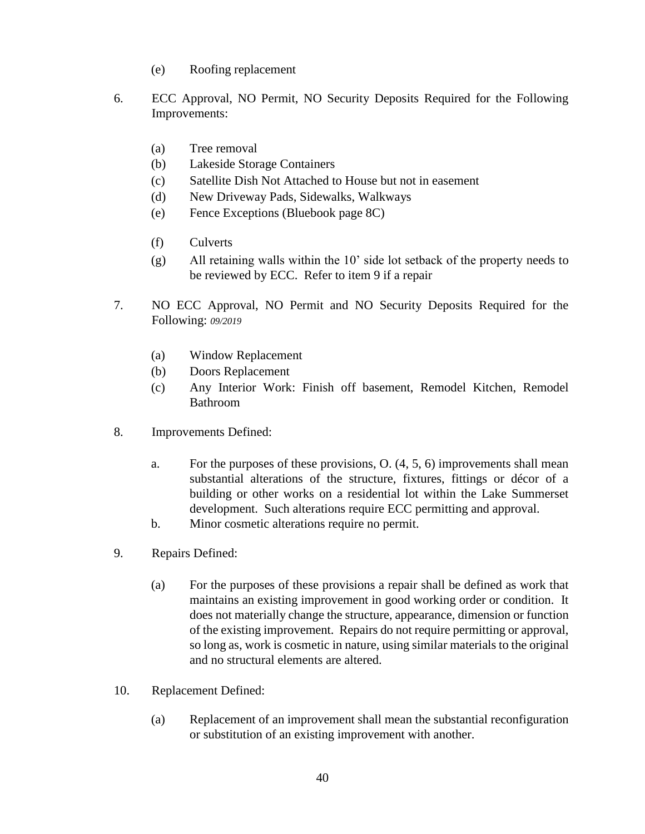- (e) Roofing replacement
- 6. ECC Approval, NO Permit, NO Security Deposits Required for the Following Improvements:
	- (a) Tree removal
	- (b) Lakeside Storage Containers
	- (c) Satellite Dish Not Attached to House but not in easement
	- (d) New Driveway Pads, Sidewalks, Walkways
	- (e) Fence Exceptions (Bluebook page 8C)
	- (f) Culverts
	- (g) All retaining walls within the 10' side lot setback of the property needs to be reviewed by ECC. Refer to item 9 if a repair
- 7. NO ECC Approval, NO Permit and NO Security Deposits Required for the Following: *09/2019*
	- (a) Window Replacement
	- (b) Doors Replacement
	- (c) Any Interior Work: Finish off basement, Remodel Kitchen, Remodel Bathroom
- 8. Improvements Defined:
	- a. For the purposes of these provisions, O. (4, 5, 6) improvements shall mean substantial alterations of the structure, fixtures, fittings or décor of a building or other works on a residential lot within the Lake Summerset development. Such alterations require ECC permitting and approval.
	- b. Minor cosmetic alterations require no permit.
- 9. Repairs Defined:
	- (a) For the purposes of these provisions a repair shall be defined as work that maintains an existing improvement in good working order or condition. It does not materially change the structure, appearance, dimension or function of the existing improvement. Repairs do not require permitting or approval, so long as, work is cosmetic in nature, using similar materials to the original and no structural elements are altered.
- 10. Replacement Defined:
	- (a) Replacement of an improvement shall mean the substantial reconfiguration or substitution of an existing improvement with another.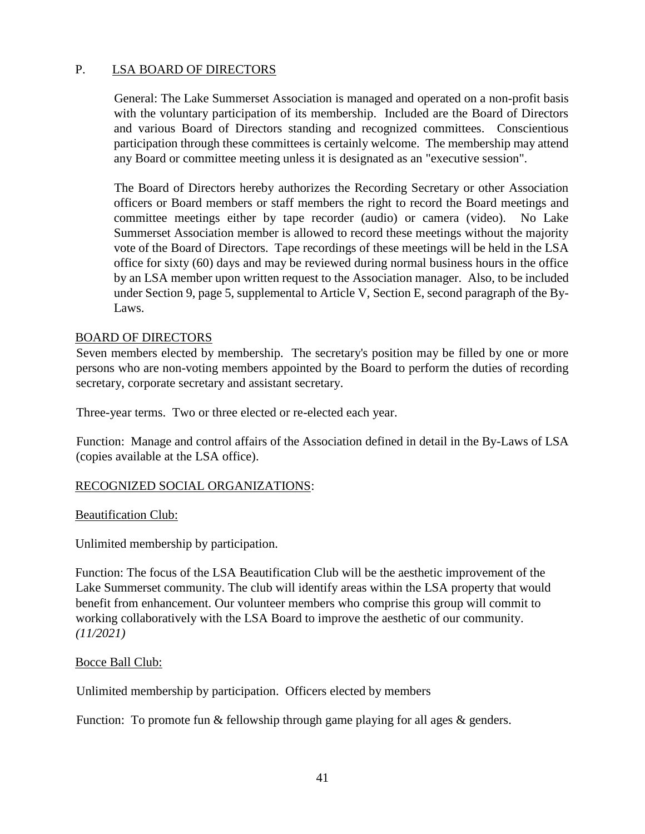# P. LSA BOARD OF DIRECTORS

General: The Lake Summerset Association is managed and operated on a non-profit basis with the voluntary participation of its membership. Included are the Board of Directors and various Board of Directors standing and recognized committees. Conscientious participation through these committees is certainly welcome. The membership may attend any Board or committee meeting unless it is designated as an "executive session".

The Board of Directors hereby authorizes the Recording Secretary or other Association officers or Board members or staff members the right to record the Board meetings and committee meetings either by tape recorder (audio) or camera (video). No Lake Summerset Association member is allowed to record these meetings without the majority vote of the Board of Directors. Tape recordings of these meetings will be held in the LSA office for sixty (60) days and may be reviewed during normal business hours in the office by an LSA member upon written request to the Association manager. Also, to be included under Section 9, page 5, supplemental to Article V, Section E, second paragraph of the By-Laws.

### BOARD OF DIRECTORS

Seven members elected by membership. The secretary's position may be filled by one or more persons who are non-voting members appointed by the Board to perform the duties of recording secretary, corporate secretary and assistant secretary.

Three-year terms. Two or three elected or re-elected each year.

Function: Manage and control affairs of the Association defined in detail in the By-Laws of LSA (copies available at the LSA office).

### RECOGNIZED SOCIAL ORGANIZATIONS:

Beautification Club:

Unlimited membership by participation.

Function: The focus of the LSA Beautification Club will be the aesthetic improvement of the Lake Summerset community. The club will identify areas within the LSA property that would benefit from enhancement. Our volunteer members who comprise this group will commit to working collaboratively with the LSA Board to improve the aesthetic of our community. *(11/2021)*

Bocce Ball Club:

Unlimited membership by participation. Officers elected by members

Function: To promote fun & fellowship through game playing for all ages & genders.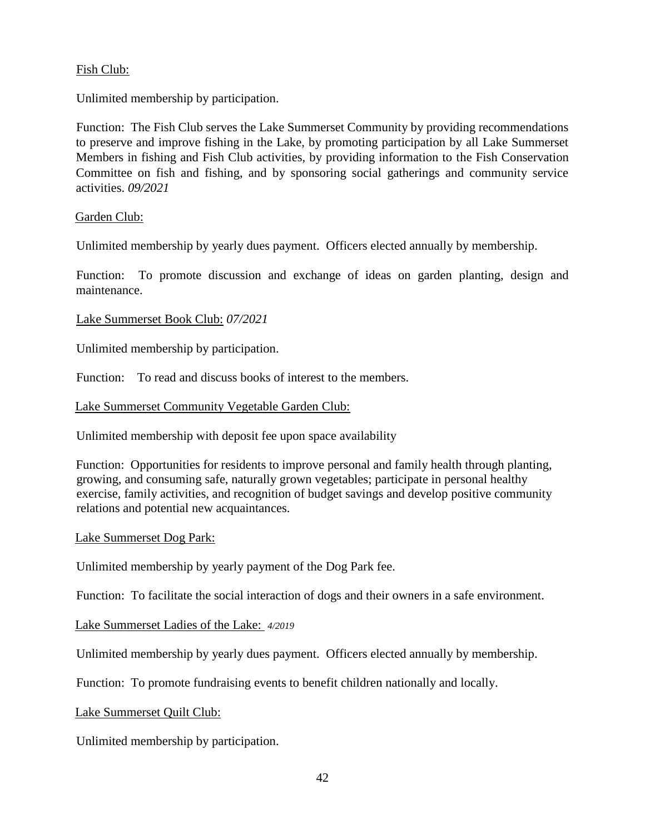### Fish Club:

Unlimited membership by participation.

Function: The Fish Club serves the Lake Summerset Community by providing recommendations to preserve and improve fishing in the Lake, by promoting participation by all Lake Summerset Members in fishing and Fish Club activities, by providing information to the Fish Conservation Committee on fish and fishing, and by sponsoring social gatherings and community service activities. *09/2021*

### Garden Club:

Unlimited membership by yearly dues payment. Officers elected annually by membership.

Function: To promote discussion and exchange of ideas on garden planting, design and maintenance.

### Lake Summerset Book Club: *07/2021*

Unlimited membership by participation.

Function: To read and discuss books of interest to the members.

Lake Summerset Community Vegetable Garden Club:

Unlimited membership with deposit fee upon space availability

Function: Opportunities for residents to improve personal and family health through planting, growing, and consuming safe, naturally grown vegetables; participate in personal healthy exercise, family activities, and recognition of budget savings and develop positive community relations and potential new acquaintances.

### Lake Summerset Dog Park:

Unlimited membership by yearly payment of the Dog Park fee.

Function: To facilitate the social interaction of dogs and their owners in a safe environment.

Lake Summerset Ladies of the Lake: *4/2019*

Unlimited membership by yearly dues payment. Officers elected annually by membership.

Function: To promote fundraising events to benefit children nationally and locally.

Lake Summerset Quilt Club:

Unlimited membership by participation.